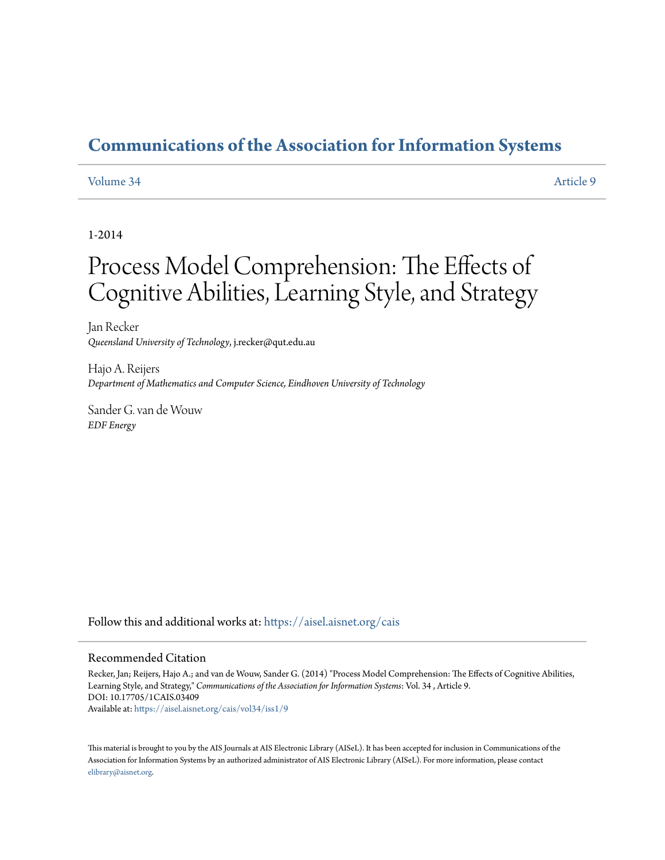### **[Communications of the Association for Information Systems](https://aisel.aisnet.org/cais?utm_source=aisel.aisnet.org%2Fcais%2Fvol34%2Fiss1%2F9&utm_medium=PDF&utm_campaign=PDFCoverPages)**

### [Volume 34](https://aisel.aisnet.org/cais/vol34?utm_source=aisel.aisnet.org%2Fcais%2Fvol34%2Fiss1%2F9&utm_medium=PDF&utm_campaign=PDFCoverPages) [Article 9](https://aisel.aisnet.org/cais/vol34/iss1/9?utm_source=aisel.aisnet.org%2Fcais%2Fvol34%2Fiss1%2F9&utm_medium=PDF&utm_campaign=PDFCoverPages)

### 1-2014

## Process Model Comprehension: The Effects of Cognitive Abilities, Learning Style, and Strategy

Jan Recker *Queensland University of Technology*, j.recker@qut.edu.au

Hajo A. Reijers *Department of Mathematics and Computer Science, Eindhoven University of Technology*

Sander G. van de Wouw *EDF Energy*

Follow this and additional works at: [https://aisel.aisnet.org/cais](https://aisel.aisnet.org/cais?utm_source=aisel.aisnet.org%2Fcais%2Fvol34%2Fiss1%2F9&utm_medium=PDF&utm_campaign=PDFCoverPages)

### Recommended Citation

Recker, Jan; Reijers, Hajo A.; and van de Wouw, Sander G. (2014) "Process Model Comprehension: The Effects of Cognitive Abilities, Learning Style, and Strategy," *Communications of the Association for Information Systems*: Vol. 34 , Article 9. DOI: 10.17705/1CAIS.03409 Available at: [https://aisel.aisnet.org/cais/vol34/iss1/9](https://aisel.aisnet.org/cais/vol34/iss1/9?utm_source=aisel.aisnet.org%2Fcais%2Fvol34%2Fiss1%2F9&utm_medium=PDF&utm_campaign=PDFCoverPages)

This material is brought to you by the AIS Journals at AIS Electronic Library (AISeL). It has been accepted for inclusion in Communications of the Association for Information Systems by an authorized administrator of AIS Electronic Library (AISeL). For more information, please contact [elibrary@aisnet.org.](mailto:elibrary@aisnet.org%3E)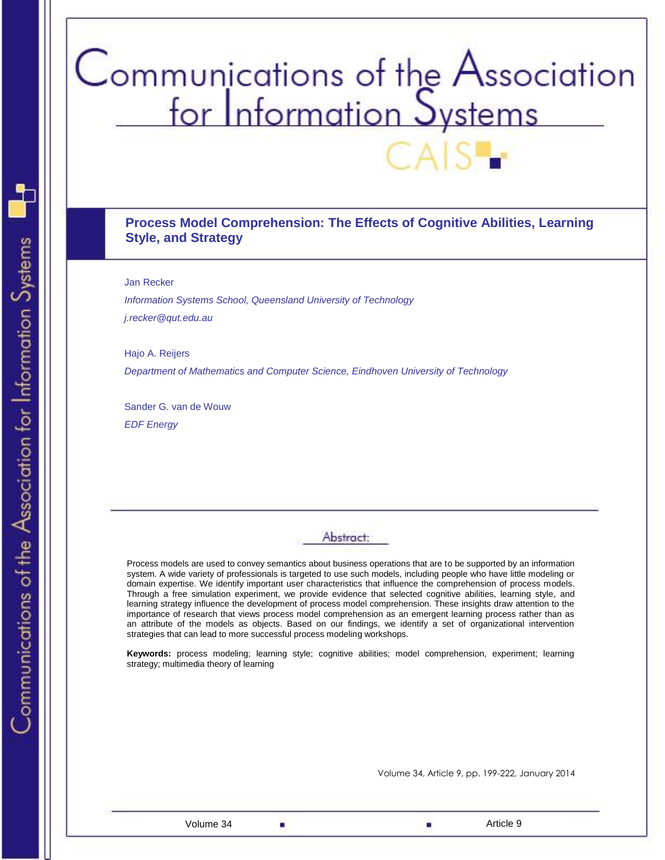# Communications of the Association<br>for Information Systems

### **Process Model Comprehension: The Effects of Cognitive Abilities, Learning Style, and Strategy**

Jan Recker

*Information Systems School, Queensland University of Technology j.recker@qut.edu.au*

Hajo A. Reijers *Department of Mathematics and Computer Science, Eindhoven University of Technology*

Sander G. van de Wouw *EDF Energy*

Abstract:

Process models are used to convey semantics about business operations that are to be supported by an information system. A wide variety of professionals is targeted to use such models, including people who have little modeling or domain expertise. We identify important user characteristics that influence the comprehension of process models. Through a free simulation experiment, we provide evidence that selected cognitive abilities, learning style, and learning strategy influence the development of process model comprehension. These insights draw attention to the importance of research that views process model comprehension as an emergent learning process rather than as an attribute of the models as objects. Based on our findings, we identify a set of organizational intervention strategies that can lead to more successful process modeling workshops.

**Keywords:** process modeling; learning style; cognitive abilities; model comprehension, experiment; learning strategy; multimedia theory of learning

Volume 34, Article 9, pp. 199-222, January 2014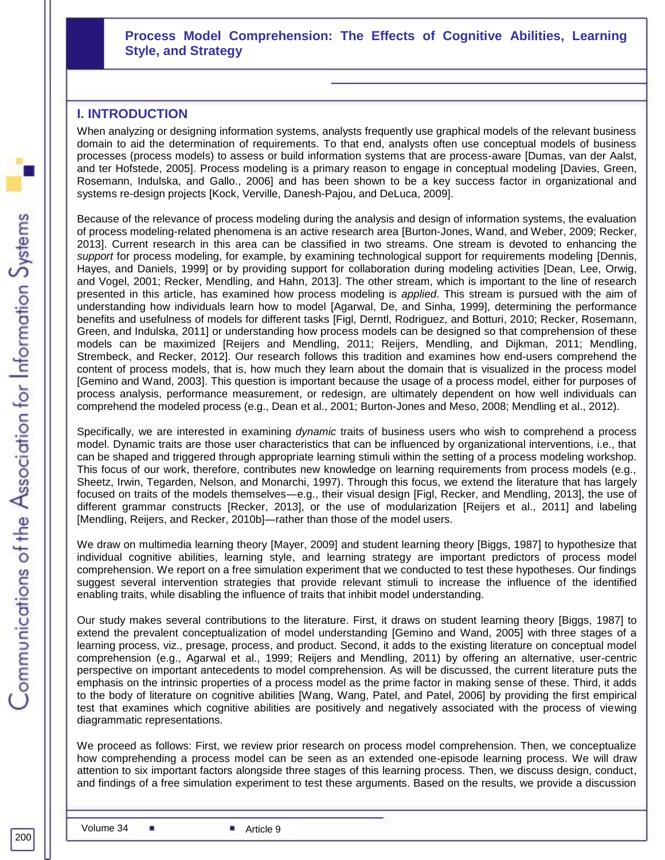### **Process Model Comprehension: The Effects of Cognitive Abilities, Learning Style, and Strategy**

### **I. INTRODUCTION**

When analyzing or designing information systems, analysts frequently use graphical models of the relevant business domain to aid the determination of requirements. To that end, analysts often use conceptual models of business processes (process models) to assess or build information systems that are process-aware [Dumas, van der Aalst, and ter Hofstede, 2005]. Process modeling is a primary reason to engage in conceptual modeling [Davies, Green, Rosemann, Indulska, and Gallo., 2006] and has been shown to be a key success factor in organizational and systems re-design projects [Kock, Verville, Danesh-Pajou, and DeLuca, 2009].

Because of the relevance of process modeling during the analysis and design of information systems, the evaluation of process modeling-related phenomena is an active research area [Burton-Jones, Wand, and Weber, 2009; Recker, 2013]. Current research in this area can be classified in two streams. One stream is devoted to enhancing the *support* for process modeling, for example, by examining technological support for requirements modeling [Dennis, Hayes, and Daniels, 1999] or by providing support for collaboration during modeling activities [Dean, Lee, Orwig, and Vogel, 2001; Recker, Mendling, and Hahn, 2013]. The other stream, which is important to the line of research presented in this article, has examined how process modeling is *applied*. This stream is pursued with the aim of understanding how individuals learn how to model [Agarwal, De, and Sinha, 1999], determining the performance benefits and usefulness of models for different tasks [Figl, Derntl, Rodriguez, and Botturi, 2010; Recker, Rosemann, Green, and Indulska, 2011] or understanding how process models can be designed so that comprehension of these models can be maximized [Reijers and Mendling, 2011; Reijers, Mendling, and Dijkman, 2011; Mendling, Strembeck, and Recker, 2012]. Our research follows this tradition and examines how end-users comprehend the content of process models, that is, how much they learn about the domain that is visualized in the process model [Gemino and Wand, 2003]. This question is important because the usage of a process model, either for purposes of process analysis, performance measurement, or redesign, are ultimately dependent on how well individuals can comprehend the modeled process (e.g., Dean et al., 2001; Burton-Jones and Meso, 2008; Mendling et al., 2012).

Specifically, we are interested in examining *dynamic* traits of business users who wish to comprehend a process model. Dynamic traits are those user characteristics that can be influenced by organizational interventions, i.e., that can be shaped and triggered through appropriate learning stimuli within the setting of a process modeling workshop. This focus of our work, therefore, contributes new knowledge on learning requirements from process models (e.g., Sheetz, Irwin, Tegarden, Nelson, and Monarchi, 1997). Through this focus, we extend the literature that has largely focused on traits of the models themselves―e.g., their visual design [Figl, Recker, and Mendling, 2013], the use of different grammar constructs [Recker, 2013], or the use of modularization [Reijers et al., 2011] and labeling [Mendling, Reijers, and Recker, 2010b]—rather than those of the model users.

We draw on multimedia learning theory [Mayer, 2009] and student learning theory [Biggs, 1987] to hypothesize that individual cognitive abilities, learning style, and learning strategy are important predictors of process model comprehension. We report on a free simulation experiment that we conducted to test these hypotheses. Our findings suggest several intervention strategies that provide relevant stimuli to increase the influence of the identified enabling traits, while disabling the influence of traits that inhibit model understanding.

Our study makes several contributions to the literature. First, it draws on student learning theory [Biggs, 1987] to extend the prevalent conceptualization of model understanding [Gemino and Wand, 2005] with three stages of a learning process, viz., presage, process, and product. Second, it adds to the existing literature on conceptual model comprehension (e.g., Agarwal et al., 1999; Reijers and Mendling, 2011) by offering an alternative, user-centric perspective on important antecedents to model comprehension. As will be discussed, the current literature puts the emphasis on the intrinsic properties of a process model as the prime factor in making sense of these. Third, it adds to the body of literature on cognitive abilities [Wang, Wang, Patel, and Patel, 2006] by providing the first empirical test that examines which cognitive abilities are positively and negatively associated with the process of viewing diagrammatic representations.

We proceed as follows: First, we review prior research on process model comprehension. Then, we conceptualize **and Strategy** how comprehending a process model can be seen as an extended one-episode learning process. We will draw attention to six important factors alongside three stages of this learning process. Then, we discuss design, conduct, and findings of a free simulation experiment to test these arguments. Based on the results, we provide a discussion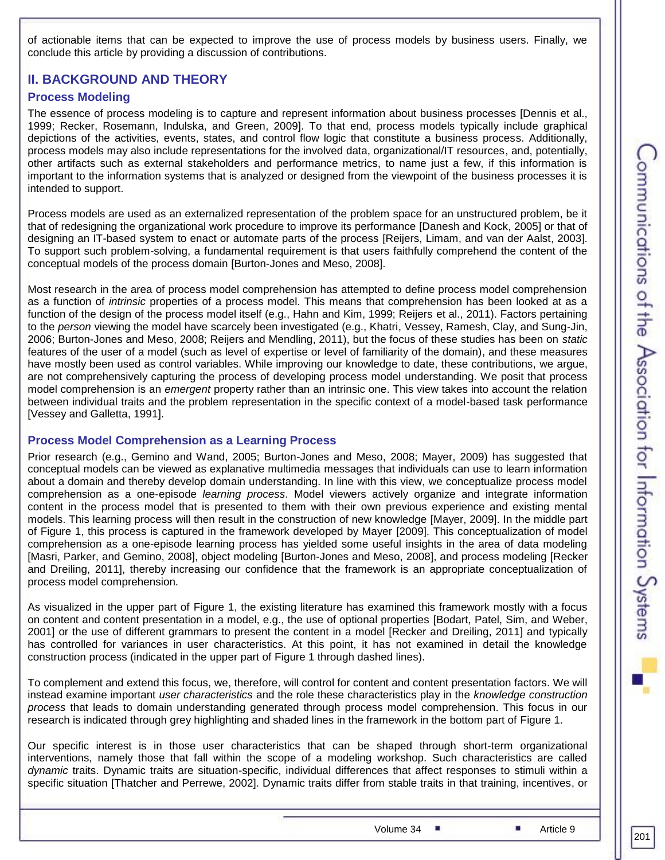of actionable items that can be expected to improve the use of process models by business users. Finally, we conclude this article by providing a discussion of contributions.

### **II. BACKGROUND AND THEORY**

### **Process Modeling**

The essence of process modeling is to capture and represent information about business processes [Dennis et al., 1999; Recker, Rosemann, Indulska, and Green, 2009]. To that end, process models typically include graphical depictions of the activities, events, states, and control flow logic that constitute a business process. Additionally, process models may also include representations for the involved data, organizational/IT resources, and, potentially, other artifacts such as external stakeholders and performance metrics, to name just a few, if this information is important to the information systems that is analyzed or designed from the viewpoint of the business processes it is intended to support.

Process models are used as an externalized representation of the problem space for an unstructured problem, be it that of redesigning the organizational work procedure to improve its performance [Danesh and Kock, 2005] or that of designing an IT-based system to enact or automate parts of the process [Reijers, Limam, and van der Aalst, 2003]. To support such problem-solving, a fundamental requirement is that users faithfully comprehend the content of the conceptual models of the process domain [Burton-Jones and Meso, 2008].

Most research in the area of process model comprehension has attempted to define process model comprehension as a function of *intrinsic* properties of a process model. This means that comprehension has been looked at as a function of the design of the process model itself (e.g., Hahn and Kim, 1999; Reijers et al., 2011). Factors pertaining to the *person* viewing the model have scarcely been investigated (e.g., Khatri, Vessey, Ramesh, Clay, and Sung-Jin, 2006; Burton-Jones and Meso, 2008; Reijers and Mendling, 2011), but the focus of these studies has been on *static* features of the user of a model (such as level of expertise or level of familiarity of the domain), and these measures have mostly been used as control variables. While improving our knowledge to date, these contributions, we argue, are not comprehensively capturing the process of developing process model understanding. We posit that process model comprehension is an *emergent* property rather than an intrinsic one. This view takes into account the relation between individual traits and the problem representation in the specific context of a model-based task performance [Vessey and Galletta, 1991].

### **Process Model Comprehension as a Learning Process**

Prior research (e.g., Gemino and Wand, 2005; Burton-Jones and Meso, 2008; Mayer, 2009) has suggested that conceptual models can be viewed as explanative multimedia messages that individuals can use to learn information about a domain and thereby develop domain understanding. In line with this view, we conceptualize process model comprehension as a one-episode *learning process*. Model viewers actively organize and integrate information content in the process model that is presented to them with their own previous experience and existing mental models. This learning process will then result in the construction of new knowledge [Mayer, 2009]. In the middle part of Figure 1, this process is captured in the framework developed by Mayer [2009]. This conceptualization of model comprehension as a one-episode learning process has yielded some useful insights in the area of data modeling [Masri, Parker, and Gemino, 2008], object modeling [Burton-Jones and Meso, 2008], and process modeling [Recker and Dreiling, 2011], thereby increasing our confidence that the framework is an appropriate conceptualization of process model comprehension.

As visualized in the upper part of Figure 1, the existing literature has examined this framework mostly with a focus on content and content presentation in a model, e.g., the use of optional properties [Bodart, Patel, Sim, and Weber, 2001] or the use of different grammars to present the content in a model [Recker and Dreiling, 2011] and typically has controlled for variances in user characteristics. At this point, it has not examined in detail the knowledge construction process (indicated in the upper part of Figure 1 through dashed lines).

To complement and extend this focus, we, therefore, will control for content and content presentation factors. We will instead examine important *user characteristics* and the role these characteristics play in the *knowledge construction process* that leads to domain understanding generated through process model comprehension. This focus in our research is indicated through grey highlighting and shaded lines in the framework in the bottom part of Figure 1.

Our specific interest is in those user characteristics that can be shaped through short-term organizational interventions, namely those that fall within the scope of a modeling workshop. Such characteristics are called *dynamic* traits. Dynamic traits are situation-specific, individual differences that affect responses to stimuli within a specific situation [Thatcher and Perrewe, 2002]. Dynamic traits differ from stable traits in that training, incentives, or

Volume  $34$  **Article 9**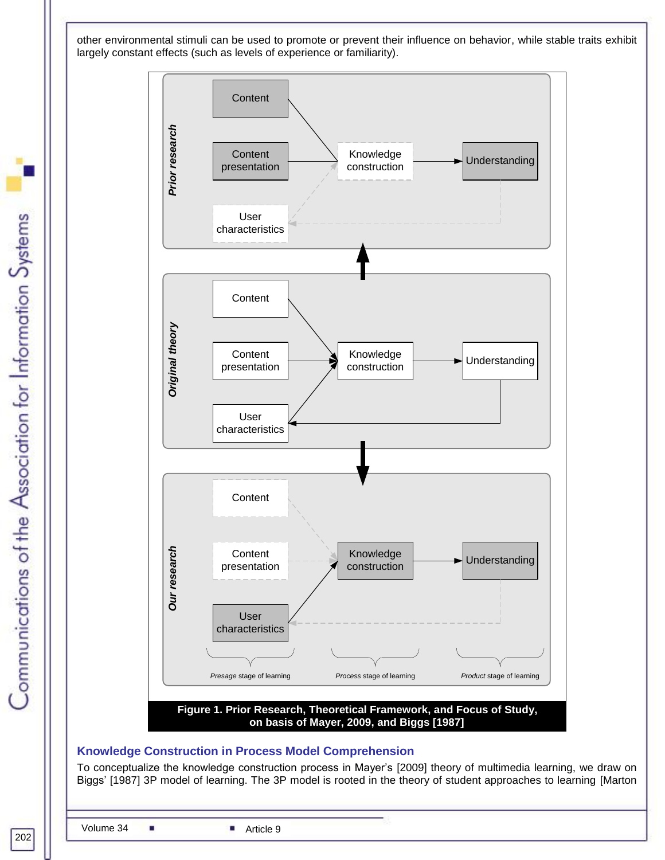other environmental stimuli can be used to promote or prevent their influence on behavior, while stable traits exhibit largely constant effects (such as levels of experience or familiarity).



### **Knowledge Construction in Process Model Comprehension**

To conceptualize the knowledge construction process in Mayer's [2009] theory of multimedia learning, we draw on Biggs' [1987] 3P model of learning. The 3P model is rooted in the theory of student approaches to learning [Marton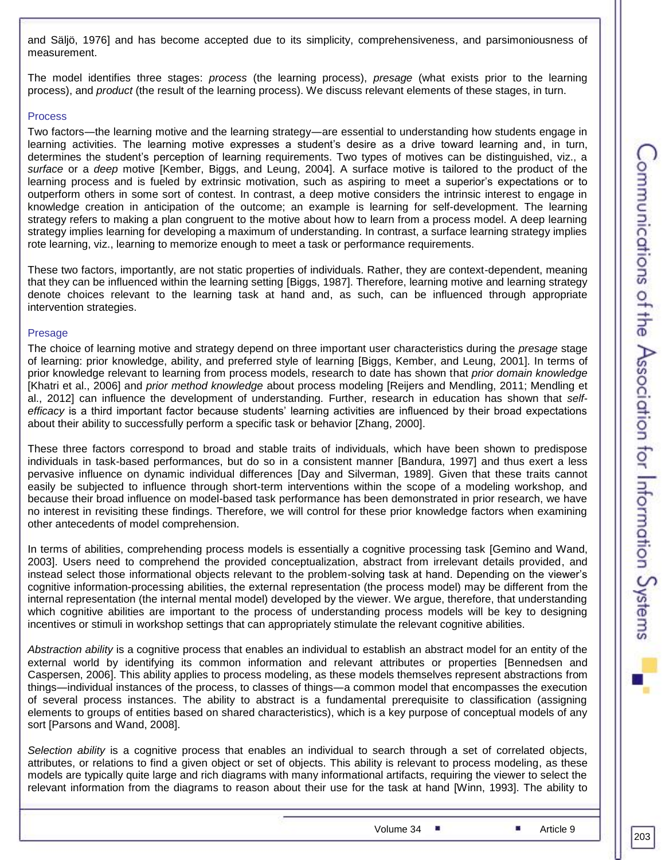and Säljö, 1976] and has become accepted due to its simplicity, comprehensiveness, and parsimoniousness of measurement.

The model identifies three stages: *process* (the learning process), *presage* (what exists prior to the learning process), and *product* (the result of the learning process). We discuss relevant elements of these stages, in turn.

### **Process**

Two factors―the learning motive and the learning strategy―are essential to understanding how students engage in learning activities. The learning motive expresses a student's desire as a drive toward learning and, in turn, determines the student's perception of learning requirements. Two types of motives can be distinguished, viz., a *surface* or a *deep* motive [Kember, Biggs, and Leung, 2004]. A surface motive is tailored to the product of the learning process and is fueled by extrinsic motivation, such as aspiring to meet a superior's expectations or to outperform others in some sort of contest. In contrast, a deep motive considers the intrinsic interest to engage in knowledge creation in anticipation of the outcome; an example is learning for self-development. The learning strategy refers to making a plan congruent to the motive about how to learn from a process model. A deep learning strategy implies learning for developing a maximum of understanding. In contrast, a surface learning strategy implies rote learning, viz., learning to memorize enough to meet a task or performance requirements.

These two factors, importantly, are not static properties of individuals. Rather, they are context-dependent, meaning that they can be influenced within the learning setting [Biggs, 1987]. Therefore, learning motive and learning strategy denote choices relevant to the learning task at hand and, as such, can be influenced through appropriate intervention strategies.

### **Presage**

The choice of learning motive and strategy depend on three important user characteristics during the *presage* stage of learning: prior knowledge, ability, and preferred style of learning [Biggs, Kember, and Leung, 2001]. In terms of prior knowledge relevant to learning from process models, research to date has shown that *prior domain knowledge* [Khatri et al., 2006] and *prior method knowledge* about process modeling [Reijers and Mendling, 2011; Mendling et al., 2012] can influence the development of understanding. Further, research in education has shown that *selfefficacy* is a third important factor because students' learning activities are influenced by their broad expectations about their ability to successfully perform a specific task or behavior [Zhang, 2000].

These three factors correspond to broad and stable traits of individuals, which have been shown to predispose individuals in task-based performances, but do so in a consistent manner [Bandura, 1997] and thus exert a less pervasive influence on dynamic individual differences [Day and Silverman, 1989]. Given that these traits cannot easily be subjected to influence through short-term interventions within the scope of a modeling workshop, and because their broad influence on model-based task performance has been demonstrated in prior research, we have no interest in revisiting these findings. Therefore, we will control for these prior knowledge factors when examining other antecedents of model comprehension.

In terms of abilities, comprehending process models is essentially a cognitive processing task [Gemino and Wand, 2003]. Users need to comprehend the provided conceptualization, abstract from irrelevant details provided, and instead select those informational objects relevant to the problem-solving task at hand. Depending on the viewer's cognitive information-processing abilities, the external representation (the process model) may be different from the internal representation (the internal mental model) developed by the viewer. We argue, therefore, that understanding which cognitive abilities are important to the process of understanding process models will be key to designing incentives or stimuli in workshop settings that can appropriately stimulate the relevant cognitive abilities.

*Abstraction ability* is a cognitive process that enables an individual to establish an abstract model for an entity of the external world by identifying its common information and relevant attributes or properties [Bennedsen and Caspersen, 2006]. This ability applies to process modeling, as these models themselves represent abstractions from things―individual instances of the process, to classes of things―a common model that encompasses the execution of several process instances. The ability to abstract is a fundamental prerequisite to classification (assigning elements to groups of entities based on shared characteristics), which is a key purpose of conceptual models of any sort [Parsons and Wand, 2008].

*Selection ability* is a cognitive process that enables an individual to search through a set of correlated objects, attributes, or relations to find a given object or set of objects. This ability is relevant to process modeling, as these models are typically quite large and rich diagrams with many informational artifacts, requiring the viewer to select the relevant information from the diagrams to reason about their use for the task at hand [Winn, 1993]. The ability to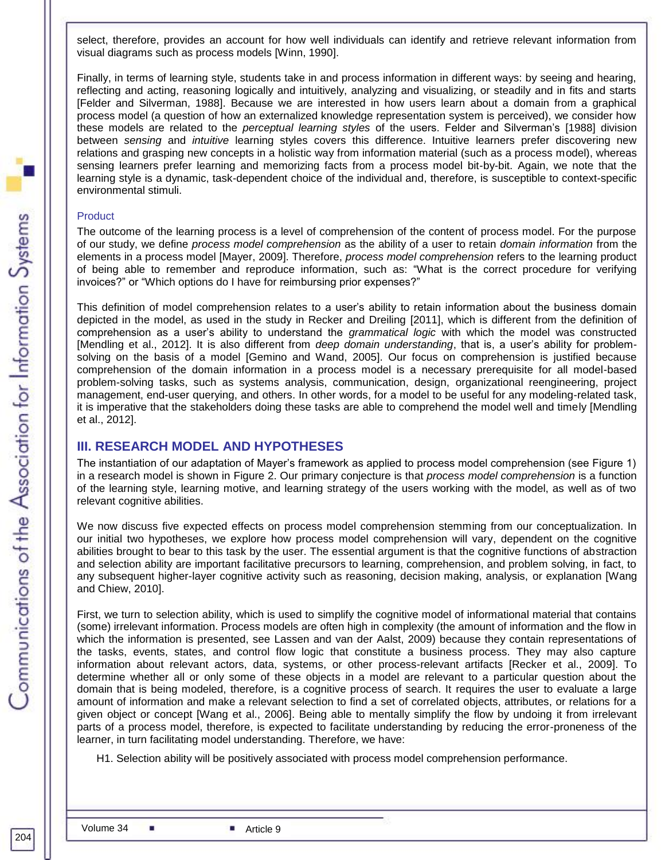select, therefore, provides an account for how well individuals can identify and retrieve relevant information from visual diagrams such as process models [Winn, 1990].

Finally, in terms of learning style, students take in and process information in different ways: by seeing and hearing, reflecting and acting, reasoning logically and intuitively, analyzing and visualizing, or steadily and in fits and starts [Felder and Silverman, 1988]. Because we are interested in how users learn about a domain from a graphical process model (a question of how an externalized knowledge representation system is perceived), we consider how these models are related to the *perceptual learning styles* of the users. Felder and Silverman's [1988] division between *sensing* and *intuitive* learning styles covers this difference. Intuitive learners prefer discovering new relations and grasping new concepts in a holistic way from information material (such as a process model), whereas sensing learners prefer learning and memorizing facts from a process model bit-by-bit. Again, we note that the learning style is a dynamic, task-dependent choice of the individual and, therefore, is susceptible to context-specific environmental stimuli.

### Product

The outcome of the learning process is a level of comprehension of the content of process model. For the purpose of our study, we define *process model comprehension* as the ability of a user to retain *domain information* from the elements in a process model [Mayer, 2009]. Therefore, *process model comprehension* refers to the learning product of being able to remember and reproduce information, such as: "What is the correct procedure for verifying invoices?" or "Which options do I have for reimbursing prior expenses?"

This definition of model comprehension relates to a user's ability to retain information about the business domain depicted in the model, as used in the study in Recker and Dreiling [2011], which is different from the definition of comprehension as a user's ability to understand the *grammatical logic* with which the model was constructed [Mendling et al., 2012]. It is also different from *deep domain understanding*, that is, a user's ability for problemsolving on the basis of a model [Gemino and Wand, 2005]. Our focus on comprehension is justified because comprehension of the domain information in a process model is a necessary prerequisite for all model-based problem-solving tasks, such as systems analysis, communication, design, organizational reengineering, project management, end-user querying, and others. In other words, for a model to be useful for any modeling-related task, it is imperative that the stakeholders doing these tasks are able to comprehend the model well and timely [Mendling et al., 2012].

### **III. RESEARCH MODEL AND HYPOTHESES**

The instantiation of our adaptation of Mayer's framework as applied to process model comprehension (see Figure 1) in a research model is shown in Figure 2. Our primary conjecture is that *process model comprehension* is a function of the learning style, learning motive, and learning strategy of the users working with the model, as well as of two relevant cognitive abilities.

We now discuss five expected effects on process model comprehension stemming from our conceptualization. In our initial two hypotheses, we explore how process model comprehension will vary, dependent on the cognitive abilities brought to bear to this task by the user. The essential argument is that the cognitive functions of abstraction and selection ability are important facilitative precursors to learning, comprehension, and problem solving, in fact, to any subsequent higher-layer cognitive activity such as reasoning, decision making, analysis, or explanation [Wang and Chiew, 2010].

First, we turn to selection ability, which is used to simplify the cognitive model of informational material that contains (some) irrelevant information. Process models are often high in complexity (the amount of information and the flow in which the information is presented, see Lassen and van der Aalst, 2009) because they contain representations of the tasks, events, states, and control flow logic that constitute a business process. They may also capture information about relevant actors, data, systems, or other process-relevant artifacts [Recker et al., 2009]. To determine whether all or only some of these objects in a model are relevant to a particular question about the domain that is being modeled, therefore, is a cognitive process of search. It requires the user to evaluate a large amount of information and make a relevant selection to find a set of correlated objects, attributes, or relations for a given object or concept [Wang et al., 2006]. Being able to mentally simplify the flow by undoing it from irrelevant parts of a process model, therefore, is expected to facilitate understanding by reducing the error-proneness of the learner, in turn facilitating model understanding. Therefore, we have:

H1. Selection ability will be positively associated with process model comprehension performance.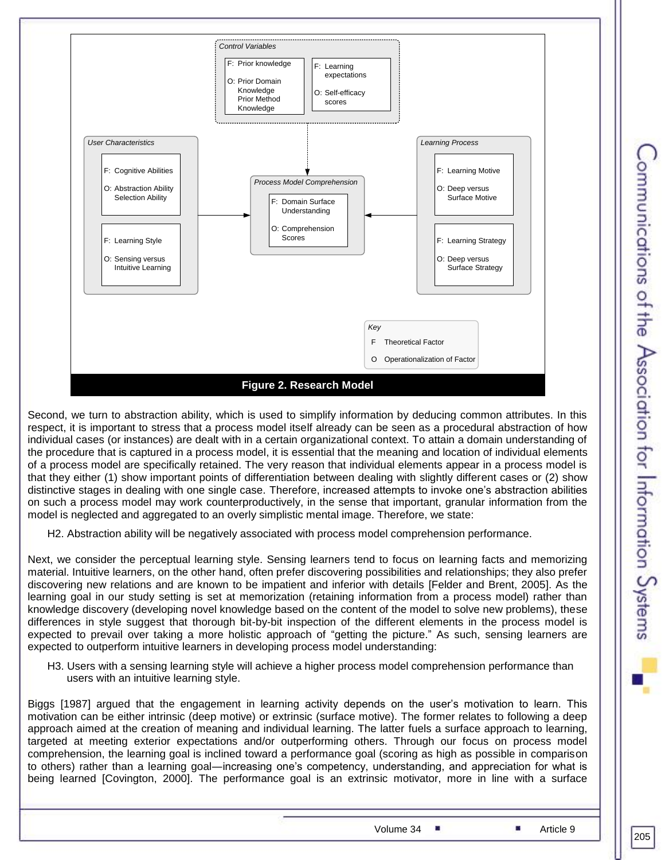

Second, we turn to abstraction ability, which is used to simplify information by deducing common attributes. In this respect, it is important to stress that a process model itself already can be seen as a procedural abstraction of how individual cases (or instances) are dealt with in a certain organizational context. To attain a domain understanding of the procedure that is captured in a process model, it is essential that the meaning and location of individual elements of a process model are specifically retained. The very reason that individual elements appear in a process model is that they either (1) show important points of differentiation between dealing with slightly different cases or (2) show distinctive stages in dealing with one single case. Therefore, increased attempts to invoke one's abstraction abilities on such a process model may work counterproductively, in the sense that important, granular information from the model is neglected and aggregated to an overly simplistic mental image. Therefore, we state:

H2. Abstraction ability will be negatively associated with process model comprehension performance.

Next, we consider the perceptual learning style. Sensing learners tend to focus on learning facts and memorizing material. Intuitive learners, on the other hand, often prefer discovering possibilities and relationships; they also prefer discovering new relations and are known to be impatient and inferior with details [Felder and Brent, 2005]. As the learning goal in our study setting is set at memorization (retaining information from a process model) rather than knowledge discovery (developing novel knowledge based on the content of the model to solve new problems), these differences in style suggest that thorough bit-by-bit inspection of the different elements in the process model is expected to prevail over taking a more holistic approach of "getting the picture." As such, sensing learners are expected to outperform intuitive learners in developing process model understanding:

H3. Users with a sensing learning style will achieve a higher process model comprehension performance than users with an intuitive learning style.

Biggs [1987] argued that the engagement in learning activity depends on the user's motivation to learn. This motivation can be either intrinsic (deep motive) or extrinsic (surface motive). The former relates to following a deep approach aimed at the creation of meaning and individual learning. The latter fuels a surface approach to learning, targeted at meeting exterior expectations and/or outperforming others. Through our focus on process model comprehension, the learning goal is inclined toward a performance goal (scoring as high as possible in comparison to others) rather than a learning goal―increasing one's competency, understanding, and appreciation for what is being learned [Covington, 2000]. The performance goal is an extrinsic motivator, more in line with a surface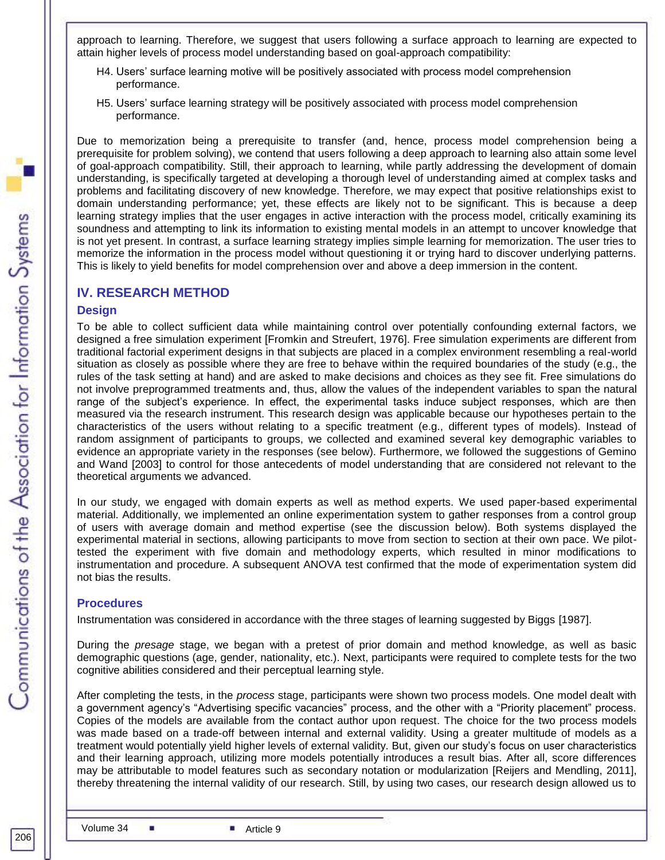approach to learning. Therefore, we suggest that users following a surface approach to learning are expected to attain higher levels of process model understanding based on goal-approach compatibility:

- H4. Users' surface learning motive will be positively associated with process model comprehension performance.
- H5. Users' surface learning strategy will be positively associated with process model comprehension performance.

Due to memorization being a prerequisite to transfer (and, hence, process model comprehension being a prerequisite for problem solving), we contend that users following a deep approach to learning also attain some level of goal-approach compatibility. Still, their approach to learning, while partly addressing the development of domain understanding, is specifically targeted at developing a thorough level of understanding aimed at complex tasks and problems and facilitating discovery of new knowledge. Therefore, we may expect that positive relationships exist to domain understanding performance; yet, these effects are likely not to be significant. This is because a deep learning strategy implies that the user engages in active interaction with the process model, critically examining its soundness and attempting to link its information to existing mental models in an attempt to uncover knowledge that is not yet present. In contrast, a surface learning strategy implies simple learning for memorization. The user tries to memorize the information in the process model without questioning it or trying hard to discover underlying patterns. This is likely to yield benefits for model comprehension over and above a deep immersion in the content.

### **IV. RESEARCH METHOD**

### **Design**

To be able to collect sufficient data while maintaining control over potentially confounding external factors, we designed a free simulation experiment [Fromkin and Streufert, 1976]. Free simulation experiments are different from traditional factorial experiment designs in that subjects are placed in a complex environment resembling a real-world situation as closely as possible where they are free to behave within the required boundaries of the study (e.g., the rules of the task setting at hand) and are asked to make decisions and choices as they see fit. Free simulations do not involve preprogrammed treatments and, thus, allow the values of the independent variables to span the natural range of the subject's experience. In effect, the experimental tasks induce subject responses, which are then measured via the research instrument. This research design was applicable because our hypotheses pertain to the characteristics of the users without relating to a specific treatment (e.g., different types of models). Instead of random assignment of participants to groups, we collected and examined several key demographic variables to evidence an appropriate variety in the responses (see below). Furthermore, we followed the suggestions of Gemino and Wand [2003] to control for those antecedents of model understanding that are considered not relevant to the theoretical arguments we advanced.

In our study, we engaged with domain experts as well as method experts. We used paper-based experimental material. Additionally, we implemented an online experimentation system to gather responses from a control group of users with average domain and method expertise (see the discussion below). Both systems displayed the experimental material in sections, allowing participants to move from section to section at their own pace. We pilottested the experiment with five domain and methodology experts, which resulted in minor modifications to instrumentation and procedure. A subsequent ANOVA test confirmed that the mode of experimentation system did not bias the results.

### **Procedures**

Instrumentation was considered in accordance with the three stages of learning suggested by Biggs [1987].

During the *presage* stage, we began with a pretest of prior domain and method knowledge, as well as basic demographic questions (age, gender, nationality, etc.). Next, participants were required to complete tests for the two cognitive abilities considered and their perceptual learning style.

After completing the tests, in the *process* stage, participants were shown two process models. One model dealt with a government agency's "Advertising specific vacancies" process, and the other with a "Priority placement" process. Copies of the models are available from the contact author upon request. The choice for the two process models was made based on a trade-off between internal and external validity. Using a greater multitude of models as a treatment would potentially yield higher levels of external validity. But, given our study's focus on user characteristics and their learning approach, utilizing more models potentially introduces a result bias. After all, score differences may be attributable to model features such as secondary notation or modularization [Reijers and Mendling, 2011], thereby threatening the internal validity of our research. Still, by using two cases, our research design allowed us to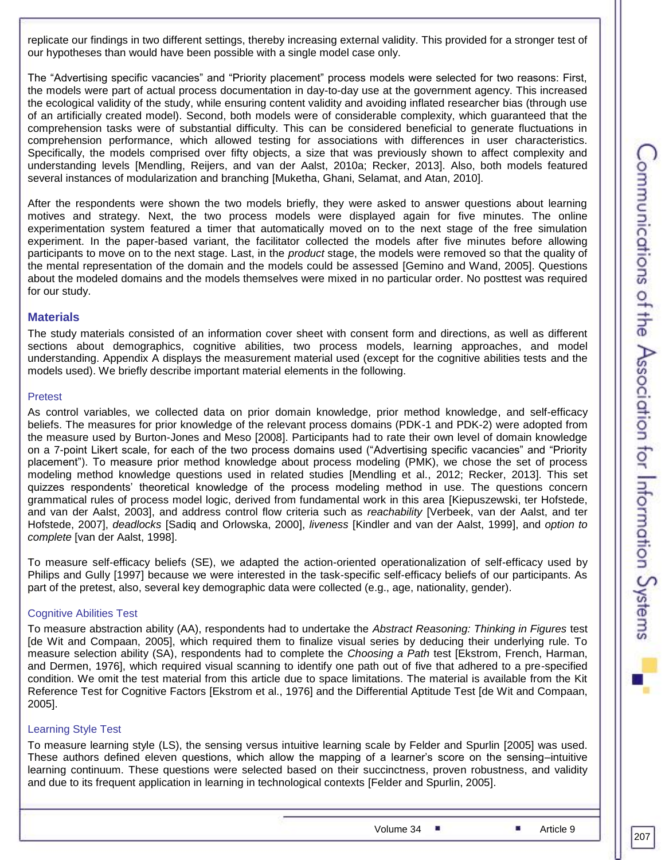replicate our findings in two different settings, thereby increasing external validity. This provided for a stronger test of our hypotheses than would have been possible with a single model case only.

The "Advertising specific vacancies" and "Priority placement" process models were selected for two reasons: First, the models were part of actual process documentation in day-to-day use at the government agency. This increased the ecological validity of the study, while ensuring content validity and avoiding inflated researcher bias (through use of an artificially created model). Second, both models were of considerable complexity, which guaranteed that the comprehension tasks were of substantial difficulty. This can be considered beneficial to generate fluctuations in comprehension performance, which allowed testing for associations with differences in user characteristics. Specifically, the models comprised over fifty objects, a size that was previously shown to affect complexity and understanding levels [Mendling, Reijers, and van der Aalst, 2010a; Recker, 2013]. Also, both models featured several instances of modularization and branching [Muketha, Ghani, Selamat, and Atan, 2010].

After the respondents were shown the two models briefly, they were asked to answer questions about learning motives and strategy. Next, the two process models were displayed again for five minutes. The online experimentation system featured a timer that automatically moved on to the next stage of the free simulation experiment. In the paper-based variant, the facilitator collected the models after five minutes before allowing participants to move on to the next stage. Last, in the *product* stage, the models were removed so that the quality of the mental representation of the domain and the models could be assessed [Gemino and Wand, 2005]. Questions about the modeled domains and the models themselves were mixed in no particular order. No posttest was required for our study.

### **Materials**

The study materials consisted of an information cover sheet with consent form and directions, as well as different sections about demographics, cognitive abilities, two process models, learning approaches, and model understanding. Appendix A displays the measurement material used (except for the cognitive abilities tests and the models used). We briefly describe important material elements in the following.

### Pretest

As control variables, we collected data on prior domain knowledge, prior method knowledge, and self-efficacy beliefs. The measures for prior knowledge of the relevant process domains (PDK-1 and PDK-2) were adopted from the measure used by Burton-Jones and Meso [2008]. Participants had to rate their own level of domain knowledge on a 7-point Likert scale, for each of the two process domains used ("Advertising specific vacancies" and "Priority placement"). To measure prior method knowledge about process modeling (PMK), we chose the set of process modeling method knowledge questions used in related studies [Mendling et al., 2012; Recker, 2013]. This set quizzes respondents' theoretical knowledge of the process modeling method in use. The questions concern grammatical rules of process model logic, derived from fundamental work in this area [Kiepuszewski, ter Hofstede, and van der Aalst, 2003], and address control flow criteria such as *reachability* [Verbeek, van der Aalst, and ter Hofstede, 2007], *deadlocks* [Sadiq and Orlowska, 2000], *liveness* [Kindler and van der Aalst, 1999], and *option to complete* [van der Aalst, 1998].

To measure self-efficacy beliefs (SE), we adapted the action-oriented operationalization of self-efficacy used by Philips and Gully [1997] because we were interested in the task-specific self-efficacy beliefs of our participants. As part of the pretest, also, several key demographic data were collected (e.g., age, nationality, gender).

### Cognitive Abilities Test

To measure abstraction ability (AA), respondents had to undertake the *Abstract Reasoning: Thinking in Figures* test [de Wit and Compaan, 2005], which required them to finalize visual series by deducing their underlying rule. To measure selection ability (SA), respondents had to complete the *Choosing a Path* test [Ekstrom, French, Harman, and Dermen, 1976], which required visual scanning to identify one path out of five that adhered to a pre-specified condition. We omit the test material from this article due to space limitations. The material is available from the Kit Reference Test for Cognitive Factors [Ekstrom et al., 1976] and the Differential Aptitude Test [de Wit and Compaan, 2005].

### Learning Style Test

To measure learning style (LS), the sensing versus intuitive learning scale by Felder and Spurlin [2005] was used. These authors defined eleven questions, which allow the mapping of a learner's score on the sensing–intuitive learning continuum. These questions were selected based on their succinctness, proven robustness, and validity and due to its frequent application in learning in technological contexts [Felder and Spurlin, 2005].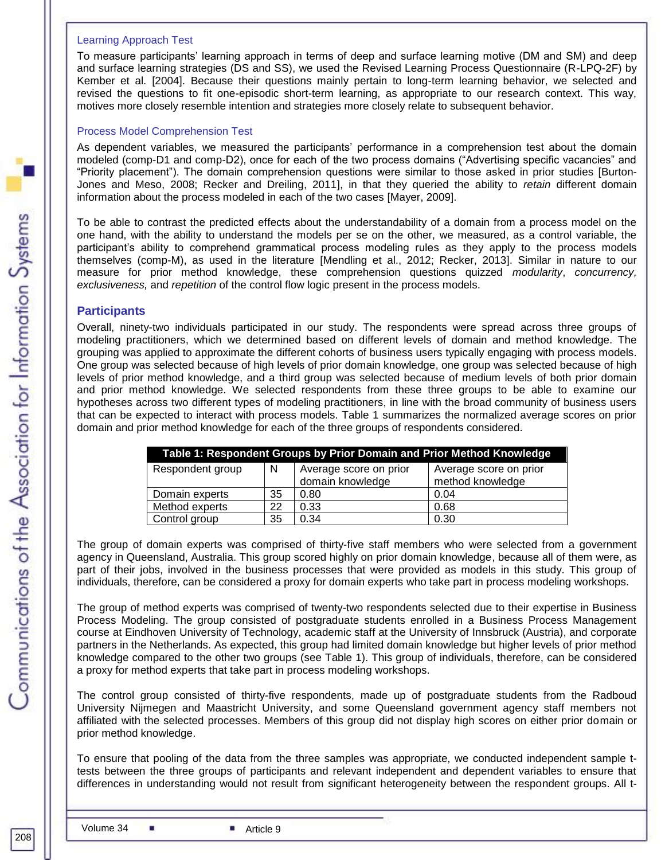### Learning Approach Test

To measure participants' learning approach in terms of deep and surface learning motive (DM and SM) and deep and surface learning strategies (DS and SS), we used the Revised Learning Process Questionnaire (R-LPQ-2F) by Kember et al. [2004]. Because their questions mainly pertain to long-term learning behavior, we selected and revised the questions to fit one-episodic short-term learning, as appropriate to our research context. This way, motives more closely resemble intention and strategies more closely relate to subsequent behavior.

### Process Model Comprehension Test

As dependent variables, we measured the participants' performance in a comprehension test about the domain modeled (comp-D1 and comp-D2), once for each of the two process domains ("Advertising specific vacancies" and "Priority placement"). The domain comprehension questions were similar to those asked in prior studies [Burton-Jones and Meso, 2008; Recker and Dreiling, 2011], in that they queried the ability to *retain* different domain information about the process modeled in each of the two cases [Mayer, 2009].

To be able to contrast the predicted effects about the understandability of a domain from a process model on the one hand, with the ability to understand the models per se on the other, we measured, as a control variable, the participant's ability to comprehend grammatical process modeling rules as they apply to the process models themselves (comp-M), as used in the literature [Mendling et al., 2012; Recker, 2013]. Similar in nature to our measure for prior method knowledge, these comprehension questions quizzed *modularity*, *concurrency, exclusiveness,* and *repetition* of the control flow logic present in the process models.

### **Participants**

Overall, ninety-two individuals participated in our study. The respondents were spread across three groups of modeling practitioners, which we determined based on different levels of domain and method knowledge. The grouping was applied to approximate the different cohorts of business users typically engaging with process models. One group was selected because of high levels of prior domain knowledge, one group was selected because of high levels of prior method knowledge, and a third group was selected because of medium levels of both prior domain and prior method knowledge. We selected respondents from these three groups to be able to examine our hypotheses across two different types of modeling practitioners, in line with the broad community of business users that can be expected to interact with process models. Table 1 summarizes the normalized average scores on prior domain and prior method knowledge for each of the three groups of respondents considered.

| Table 1: Respondent Groups by Prior Domain and Prior Method Knowledge |              |                        |                        |  |  |  |  |  |  |  |
|-----------------------------------------------------------------------|--------------|------------------------|------------------------|--|--|--|--|--|--|--|
| Respondent group                                                      | <sub>N</sub> | Average score on prior | Average score on prior |  |  |  |  |  |  |  |
|                                                                       |              | domain knowledge       | method knowledge       |  |  |  |  |  |  |  |
| Domain experts                                                        | 35           | 0.80                   | 0.04                   |  |  |  |  |  |  |  |
| Method experts                                                        | 22           | 0.33                   | 0.68                   |  |  |  |  |  |  |  |
| Control group                                                         | 35           | 0.34                   | 0.30                   |  |  |  |  |  |  |  |

The group of domain experts was comprised of thirty-five staff members who were selected from a government agency in Queensland, Australia. This group scored highly on prior domain knowledge, because all of them were, as part of their jobs, involved in the business processes that were provided as models in this study. This group of individuals, therefore, can be considered a proxy for domain experts who take part in process modeling workshops.

The group of method experts was comprised of twenty-two respondents selected due to their expertise in Business Process Modeling. The group consisted of postgraduate students enrolled in a Business Process Management course at Eindhoven University of Technology, academic staff at the University of Innsbruck (Austria), and corporate partners in the Netherlands. As expected, this group had limited domain knowledge but higher levels of prior method knowledge compared to the other two groups (see Table 1). This group of individuals, therefore, can be considered a proxy for method experts that take part in process modeling workshops.

The control group consisted of thirty-five respondents, made up of postgraduate students from the Radboud University Nijmegen and Maastricht University, and some Queensland government agency staff members not affiliated with the selected processes. Members of this group did not display high scores on either prior domain or prior method knowledge.

To ensure that pooling of the data from the three samples was appropriate, we conducted independent sample ttests between the three groups of participants and relevant independent and dependent variables to ensure that differences in understanding would not result from significant heterogeneity between the respondent groups. All t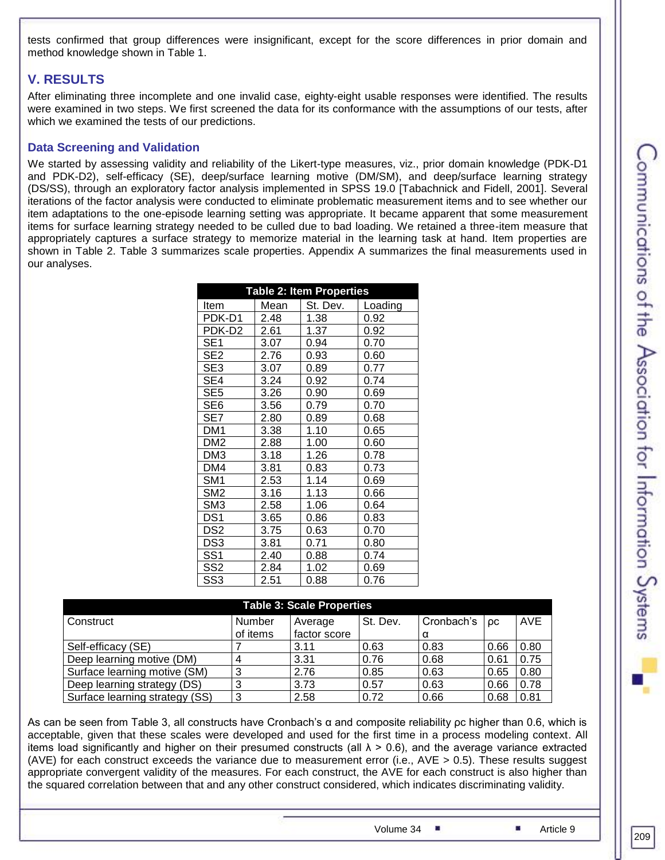tests confirmed that group differences were insignificant, except for the score differences in prior domain and method knowledge shown in Table 1.

### **V. RESULTS**

After eliminating three incomplete and one invalid case, eighty-eight usable responses were identified. The results were examined in two steps. We first screened the data for its conformance with the assumptions of our tests, after which we examined the tests of our predictions.

### **Data Screening and Validation**

We started by assessing validity and reliability of the Likert-type measures, viz., prior domain knowledge (PDK-D1 and PDK-D2), self-efficacy (SE), deep/surface learning motive (DM/SM), and deep/surface learning strategy (DS/SS), through an exploratory factor analysis implemented in SPSS 19.0 [Tabachnick and Fidell, 2001]. Several iterations of the factor analysis were conducted to eliminate problematic measurement items and to see whether our item adaptations to the one-episode learning setting was appropriate. It became apparent that some measurement items for surface learning strategy needed to be culled due to bad loading. We retained a three-item measure that appropriately captures a surface strategy to memorize material in the learning task at hand. Item properties are shown in Table 2. Table 3 summarizes scale properties. Appendix A summarizes the final measurements used in our analyses.

| <b>Table 2: Item Properties</b> |      |          |         |  |  |  |  |  |  |  |
|---------------------------------|------|----------|---------|--|--|--|--|--|--|--|
| Item                            | Mean | St. Dev. | Loading |  |  |  |  |  |  |  |
| PDK-D1                          | 2.48 | 1.38     | 0.92    |  |  |  |  |  |  |  |
| PDK-D2                          | 2.61 | 1.37     | 0.92    |  |  |  |  |  |  |  |
| SE <sub>1</sub>                 | 3.07 | 0.94     | 0.70    |  |  |  |  |  |  |  |
| SE <sub>2</sub>                 | 2.76 | 0.93     | 0.60    |  |  |  |  |  |  |  |
| SE3                             | 3.07 | 0.89     | 0.77    |  |  |  |  |  |  |  |
| SE4                             | 3.24 | 0.92     | 0.74    |  |  |  |  |  |  |  |
| SE <sub>5</sub>                 | 3.26 | 0.90     | 0.69    |  |  |  |  |  |  |  |
| SE <sub>6</sub>                 | 3.56 | 0.79     | 0.70    |  |  |  |  |  |  |  |
| SE7                             | 2.80 | 0.89     | 0.68    |  |  |  |  |  |  |  |
| DM1                             | 3.38 | 1.10     | 0.65    |  |  |  |  |  |  |  |
| DM <sub>2</sub>                 | 2.88 | 1.00     | 0.60    |  |  |  |  |  |  |  |
| DM3                             | 3.18 | 1.26     | 0.78    |  |  |  |  |  |  |  |
| DM4                             | 3.81 | 0.83     | 0.73    |  |  |  |  |  |  |  |
| SM <sub>1</sub>                 | 2.53 | 1.14     | 0.69    |  |  |  |  |  |  |  |
| SM <sub>2</sub>                 | 3.16 | 1.13     | 0.66    |  |  |  |  |  |  |  |
| SM <sub>3</sub>                 | 2.58 | 1.06     | 0.64    |  |  |  |  |  |  |  |
| DS <sub>1</sub>                 | 3.65 | 0.86     | 0.83    |  |  |  |  |  |  |  |
| DS <sub>2</sub>                 | 3.75 | 0.63     | 0.70    |  |  |  |  |  |  |  |
| DS3                             | 3.81 | 0.71     | 0.80    |  |  |  |  |  |  |  |
| SS <sub>1</sub>                 | 2.40 | 0.88     | 0.74    |  |  |  |  |  |  |  |
| SS <sub>2</sub>                 | 2.84 | 1.02     | 0.69    |  |  |  |  |  |  |  |
| SS3                             | 2.51 | 0.88     | 0.76    |  |  |  |  |  |  |  |

| <b>Table 3: Scale Properties</b> |          |              |          |            |                |            |  |  |  |  |
|----------------------------------|----------|--------------|----------|------------|----------------|------------|--|--|--|--|
| Construct                        | Number   | Average      | St. Dev. | Cronbach's | $\overline{C}$ | <b>AVE</b> |  |  |  |  |
|                                  | of items | factor score |          | α          |                |            |  |  |  |  |
| Self-efficacy (SE)               |          | 3.11         | 0.63     | 0.83       | 0.66           | 0.80       |  |  |  |  |
| Deep learning motive (DM)        |          | 3.31         | 0.76     | 0.68       | 0.61           | 0.75       |  |  |  |  |
| Surface learning motive (SM)     | 3        | 2.76         | 0.85     | 0.63       | 0.65           | 0.80       |  |  |  |  |
| Deep learning strategy (DS)      | 3        | 3.73         | 0.57     | 0.63       | 0.66           | 0.78       |  |  |  |  |
| Surface learning strategy (SS)   | 3        | 2.58         | 0.72     | 0.66       | 0.68           | 0.81       |  |  |  |  |

As can be seen from Table 3, all constructs have Cronbach's α and composite reliability ρc higher than 0.6, which is acceptable, given that these scales were developed and used for the first time in a process modeling context. All items load significantly and higher on their presumed constructs (all  $\lambda > 0.6$ ), and the average variance extracted (AVE) for each construct exceeds the variance due to measurement error (i.e., AVE > 0.5). These results suggest appropriate convergent validity of the measures. For each construct, the AVE for each construct is also higher than the squared correlation between that and any other construct considered, which indicates discriminating validity.

Volume 34 **Article 9**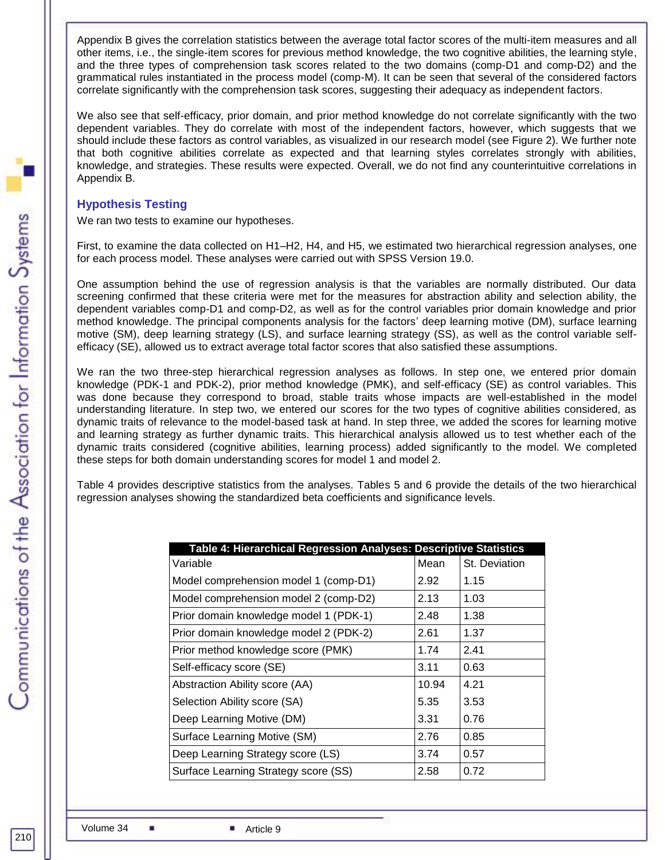Appendix B gives the correlation statistics between the average total factor scores of the multi-item measures and all other items, i.e., the single-item scores for previous method knowledge, the two cognitive abilities, the learning style, and the three types of comprehension task scores related to the two domains (comp-D1 and comp-D2) and the grammatical rules instantiated in the process model (comp-M). It can be seen that several of the considered factors correlate significantly with the comprehension task scores, suggesting their adequacy as independent factors.

We also see that self-efficacy, prior domain, and prior method knowledge do not correlate significantly with the two dependent variables. They do correlate with most of the independent factors, however, which suggests that we should include these factors as control variables, as visualized in our research model (see Figure 2). We further note that both cognitive abilities correlate as expected and that learning styles correlates strongly with abilities, knowledge, and strategies. These results were expected. Overall, we do not find any counterintuitive correlations in Appendix B.

### **Hypothesis Testing**

We ran two tests to examine our hypotheses.

First, to examine the data collected on H1–H2, H4, and H5, we estimated two hierarchical regression analyses, one for each process model. These analyses were carried out with SPSS Version 19.0.

One assumption behind the use of regression analysis is that the variables are normally distributed. Our data screening confirmed that these criteria were met for the measures for abstraction ability and selection ability, the dependent variables comp-D1 and comp-D2, as well as for the control variables prior domain knowledge and prior method knowledge. The principal components analysis for the factors' deep learning motive (DM), surface learning motive (SM), deep learning strategy (LS), and surface learning strategy (SS), as well as the control variable selfefficacy (SE), allowed us to extract average total factor scores that also satisfied these assumptions.

We ran the two three-step hierarchical regression analyses as follows. In step one, we entered prior domain knowledge (PDK-1 and PDK-2), prior method knowledge (PMK), and self-efficacy (SE) as control variables. This was done because they correspond to broad, stable traits whose impacts are well-established in the model understanding literature. In step two, we entered our scores for the two types of cognitive abilities considered, as dynamic traits of relevance to the model-based task at hand. In step three, we added the scores for learning motive and learning strategy as further dynamic traits. This hierarchical analysis allowed us to test whether each of the dynamic traits considered (cognitive abilities, learning process) added significantly to the model. We completed these steps for both domain understanding scores for model 1 and model 2.

Table 4 provides descriptive statistics from the analyses. Tables 5 and 6 provide the details of the two hierarchical regression analyses showing the standardized beta coefficients and significance levels.

| Table 4: Hierarchical Regression Analyses: Descriptive Statistics |       |               |
|-------------------------------------------------------------------|-------|---------------|
| Variable                                                          | Mean  | St. Deviation |
| Model comprehension model 1 (comp-D1)                             | 2.92  | 1.15          |
| Model comprehension model 2 (comp-D2)                             | 2.13  | 1.03          |
| Prior domain knowledge model 1 (PDK-1)                            | 2.48  | 1.38          |
| Prior domain knowledge model 2 (PDK-2)                            | 2.61  | 1.37          |
| Prior method knowledge score (PMK)                                | 1.74  | 2.41          |
| Self-efficacy score (SE)                                          | 3.11  | 0.63          |
| Abstraction Ability score (AA)                                    | 10.94 | 4.21          |
| Selection Ability score (SA)                                      | 5.35  | 3.53          |
| Deep Learning Motive (DM)                                         | 3.31  | 0.76          |
| Surface Learning Motive (SM)                                      | 2.76  | 0.85          |
| Deep Learning Strategy score (LS)                                 | 3.74  | 0.57          |
| Surface Learning Strategy score (SS)                              | 2.58  | 0.72          |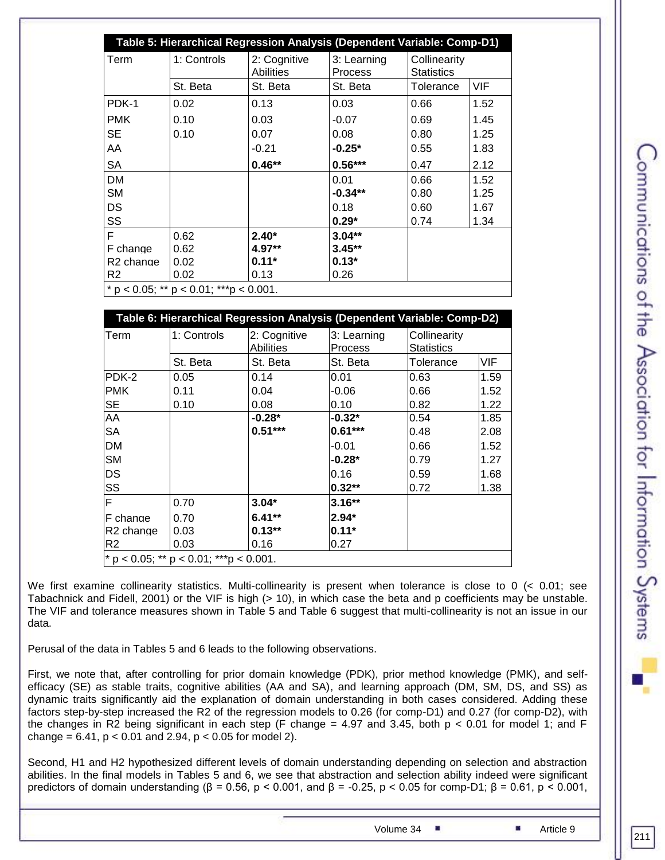| Table 5: Hierarchical Regression Analysis (Dependent Variable: Comp-D1) |                                        |                           |                               |                                   |      |  |  |  |  |  |
|-------------------------------------------------------------------------|----------------------------------------|---------------------------|-------------------------------|-----------------------------------|------|--|--|--|--|--|
| Term                                                                    | 1: Controls                            | 2: Cognitive<br>Abilities | 3: Learning<br><b>Process</b> | Collinearity<br><b>Statistics</b> |      |  |  |  |  |  |
|                                                                         | St. Beta                               | St. Beta                  | St. Beta                      | Tolerance                         | VIF  |  |  |  |  |  |
| PDK-1                                                                   | 0.02                                   | 0.13                      | 0.03                          | 0.66                              | 1.52 |  |  |  |  |  |
| <b>PMK</b>                                                              | 0.10                                   | 0.03                      | $-0.07$                       | 0.69                              | 1.45 |  |  |  |  |  |
| SE                                                                      | 0.10                                   | 0.07                      | 0.08                          | 0.80                              | 1.25 |  |  |  |  |  |
| AA                                                                      |                                        | $-0.21$                   | $-0.25*$                      | 0.55                              | 1.83 |  |  |  |  |  |
| SА                                                                      |                                        | $0.46**$                  | $0.56***$                     | 0.47                              | 2.12 |  |  |  |  |  |
| DM                                                                      |                                        |                           | 0.01                          | 0.66                              | 1.52 |  |  |  |  |  |
| <b>SM</b>                                                               |                                        |                           | $-0.34**$                     | 0.80                              | 1.25 |  |  |  |  |  |
| DS                                                                      |                                        |                           | 0.18                          | 0.60                              | 1.67 |  |  |  |  |  |
| SS                                                                      |                                        |                           | $0.29*$                       | 0.74                              | 1.34 |  |  |  |  |  |
| F                                                                       | 0.62                                   | $2.40*$                   | $3.04**$                      |                                   |      |  |  |  |  |  |
| F change                                                                | 0.62                                   | $4.97**$                  | $3.45**$                      |                                   |      |  |  |  |  |  |
| R <sub>2</sub> change                                                   | 0.02                                   | $0.11*$                   | $0.13*$                       |                                   |      |  |  |  |  |  |
| R <sub>2</sub>                                                          | 0.02                                   | 0.13                      | 0.26                          |                                   |      |  |  |  |  |  |
|                                                                         | $p$ < 0.05; ** p < 0.01; ***p < 0.001. |                           |                               |                                   |      |  |  |  |  |  |

| Table 6: Hierarchical Regression Analysis (Dependent Variable: Comp-D2) |                                          |                           |                               |                                   |      |  |  |  |  |
|-------------------------------------------------------------------------|------------------------------------------|---------------------------|-------------------------------|-----------------------------------|------|--|--|--|--|
| Term                                                                    | 1: Controls                              | 2: Cognitive<br>Abilities | 3: Learning<br><b>Process</b> | Collinearity<br><b>Statistics</b> |      |  |  |  |  |
|                                                                         | St. Beta                                 | St. Beta                  | St. Beta                      | Tolerance                         | VIF  |  |  |  |  |
| PDK-2                                                                   | 0.05                                     | 0.14                      | 0.01                          | 0.63                              | 1.59 |  |  |  |  |
| <b>PMK</b>                                                              | 0.11                                     | 0.04                      | $-0.06$                       | 0.66                              | 1.52 |  |  |  |  |
| <b>SE</b>                                                               | 0.10                                     | 0.08                      | 0.10                          | 0.82                              | 1.22 |  |  |  |  |
| AA                                                                      |                                          | $-0.28*$                  | -0.32*                        | 0.54                              | 1.85 |  |  |  |  |
| <b>SA</b>                                                               |                                          | $0.51***$                 | $0.61***$                     | 0.48                              | 2.08 |  |  |  |  |
| DM                                                                      |                                          |                           | $-0.01$                       | 0.66                              | 1.52 |  |  |  |  |
| <b>SM</b>                                                               |                                          |                           | $-0.28*$                      | 0.79                              | 1.27 |  |  |  |  |
| <b>DS</b>                                                               |                                          |                           | 0.16                          | 0.59                              | 1.68 |  |  |  |  |
| SS                                                                      |                                          |                           | $0.32**$                      | 0.72                              | 1.38 |  |  |  |  |
| F                                                                       | 0.70                                     | $3.04*$                   | $3.16**$                      |                                   |      |  |  |  |  |
| F change                                                                | 0.70                                     | $6.41**$                  | $2.94*$                       |                                   |      |  |  |  |  |
| R <sub>2</sub> change                                                   | 0.03                                     | $0.13**$                  | $0.11*$                       |                                   |      |  |  |  |  |
| R2                                                                      | 0.03                                     | 0.16                      | 0.27                          |                                   |      |  |  |  |  |
|                                                                         | $*$ p < 0.05; ** p < 0.01; ***p < 0.001. |                           |                               |                                   |      |  |  |  |  |

We first examine collinearity statistics. Multi-collinearity is present when tolerance is close to 0 (< 0.01; see Tabachnick and Fidell, 2001) or the VIF is high (> 10), in which case the beta and p coefficients may be unstable. The VIF and tolerance measures shown in Table 5 and Table 6 suggest that multi-collinearity is not an issue in our data.

Perusal of the data in Tables 5 and 6 leads to the following observations.

First, we note that, after controlling for prior domain knowledge (PDK), prior method knowledge (PMK), and selfefficacy (SE) as stable traits, cognitive abilities (AA and SA), and learning approach (DM, SM, DS, and SS) as dynamic traits significantly aid the explanation of domain understanding in both cases considered. Adding these factors step-by-step increased the R2 of the regression models to 0.26 (for comp-D1) and 0.27 (for comp-D2), with the changes in R2 being significant in each step (F change = 4.97 and 3.45, both  $p < 0.01$  for model 1; and F change =  $6.41$ ,  $p < 0.01$  and  $2.94$ ,  $p < 0.05$  for model 2).

Second, H1 and H2 hypothesized different levels of domain understanding depending on selection and abstraction abilities. In the final models in Tables 5 and 6, we see that abstraction and selection ability indeed were significant predictors of domain understanding (β = 0.56, p < 0.001, and β = -0.25, p < 0.05 for comp-D1; β = 0.61, p < 0.001,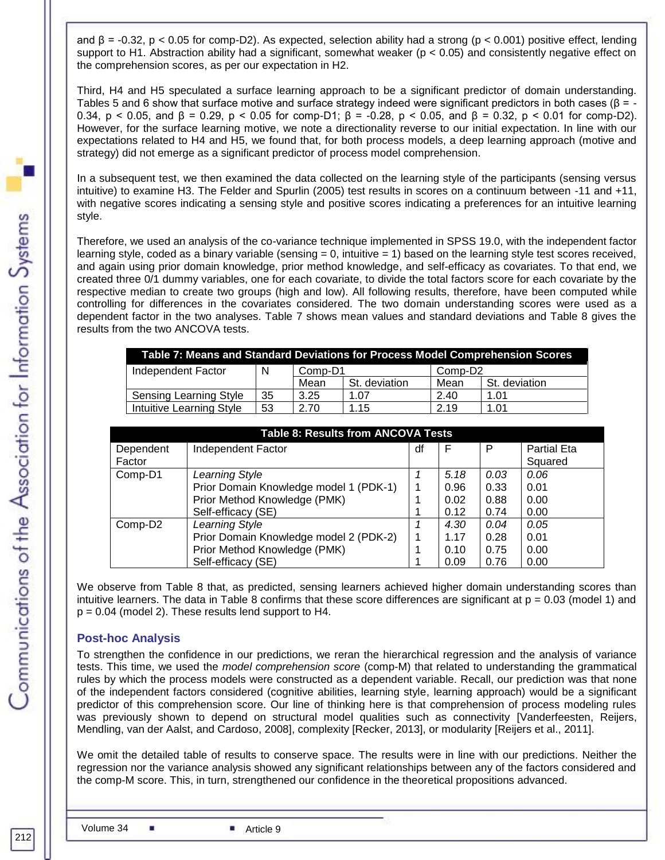and  $\beta$  = -0.32, p < 0.05 for comp-D2). As expected, selection ability had a strong (p < 0.001) positive effect, lending support to H1. Abstraction ability had a significant, somewhat weaker ( $p < 0.05$ ) and consistently negative effect on the comprehension scores, as per our expectation in H2.

Third, H4 and H5 speculated a surface learning approach to be a significant predictor of domain understanding. Tables 5 and 6 show that surface motive and surface strategy indeed were significant predictors in both cases ( $\beta$  = -0.34, p < 0.05, and β = 0.29, p < 0.05 for comp-D1; β = -0.28, p < 0.05, and β = 0.32, p < 0.01 for comp-D2). However, for the surface learning motive, we note a directionality reverse to our initial expectation. In line with our expectations related to H4 and H5, we found that, for both process models, a deep learning approach (motive and strategy) did not emerge as a significant predictor of process model comprehension.

In a subsequent test, we then examined the data collected on the learning style of the participants (sensing versus intuitive) to examine H3. The Felder and Spurlin (2005) test results in scores on a continuum between -11 and +11, with negative scores indicating a sensing style and positive scores indicating a preferences for an intuitive learning style.

Therefore, we used an analysis of the co-variance technique implemented in SPSS 19.0, with the independent factor learning style, coded as a binary variable (sensing  $= 0$ , intuitive  $= 1$ ) based on the learning style test scores received, and again using prior domain knowledge, prior method knowledge, and self-efficacy as covariates. To that end, we created three 0/1 dummy variables, one for each covariate, to divide the total factors score for each covariate by the respective median to create two groups (high and low). All following results, therefore, have been computed while controlling for differences in the covariates considered. The two domain understanding scores were used as a dependent factor in the two analyses. Table 7 shows mean values and standard deviations and Table 8 gives the results from the two ANCOVA tests.

| Table 7: Means and Standard Deviations for Process Model Comprehension Scores |    |         |               |                     |               |  |  |  |  |
|-------------------------------------------------------------------------------|----|---------|---------------|---------------------|---------------|--|--|--|--|
| Independent Factor                                                            | N  | Comp-D1 |               | Comp-D <sub>2</sub> |               |  |  |  |  |
|                                                                               |    | Mean    | St. deviation | Mean                | St. deviation |  |  |  |  |
| <b>Sensing Learning Style</b>                                                 | 35 | 3.25    | 1.07          | 2.40                | 1.01          |  |  |  |  |
| Intuitive Learning Style                                                      | 53 | 2.70    | 1.15          | 2.19                | 1.01          |  |  |  |  |

| <b>Table 8: Results from ANCOVA Tests</b> |                                        |    |      |      |                    |  |  |  |  |  |
|-------------------------------------------|----------------------------------------|----|------|------|--------------------|--|--|--|--|--|
| Dependent                                 | Independent Factor                     | df | F    | P    | <b>Partial Eta</b> |  |  |  |  |  |
| Factor                                    |                                        |    |      |      | Squared            |  |  |  |  |  |
| Comp-D1                                   | Learning Style                         |    | 5.18 | 0.03 | 0.06               |  |  |  |  |  |
|                                           | Prior Domain Knowledge model 1 (PDK-1) |    | 0.96 | 0.33 | 0.01               |  |  |  |  |  |
|                                           | Prior Method Knowledge (PMK)           |    | 0.02 | 0.88 | 0.00               |  |  |  |  |  |
|                                           | Self-efficacy (SE)                     |    | 0.12 | 0.74 | 0.00               |  |  |  |  |  |
| Comp-D <sub>2</sub>                       | <b>Learning Style</b>                  |    | 4.30 | 0.04 | 0.05               |  |  |  |  |  |
|                                           | Prior Domain Knowledge model 2 (PDK-2) |    | 1.17 | 0.28 | 0.01               |  |  |  |  |  |
|                                           | Prior Method Knowledge (PMK)           |    | 0.10 | 0.75 | 0.00               |  |  |  |  |  |
|                                           | Self-efficacy (SE)                     |    | 0.09 | 0.76 | 0.00               |  |  |  |  |  |

We observe from Table 8 that, as predicted, sensing learners achieved higher domain understanding scores than intuitive learners. The data in Table 8 confirms that these score differences are significant at  $p = 0.03$  (model 1) and  $p = 0.04$  (model 2). These results lend support to H4.

### **Post-hoc Analysis**

To strengthen the confidence in our predictions, we reran the hierarchical regression and the analysis of variance tests. This time, we used the *model comprehension score* (comp-M) that related to understanding the grammatical rules by which the process models were constructed as a dependent variable. Recall, our prediction was that none of the independent factors considered (cognitive abilities, learning style, learning approach) would be a significant predictor of this comprehension score. Our line of thinking here is that comprehension of process modeling rules was previously shown to depend on structural model qualities such as connectivity [Vanderfeesten, Reijers, Mendling, van der Aalst, and Cardoso, 2008], complexity [Recker, 2013], or modularity [Reijers et al., 2011].

We omit the detailed table of results to conserve space. The results were in line with our predictions. Neither the regression nor the variance analysis showed any significant relationships between any of the factors considered and the comp-M score. This, in turn, strengthened our confidence in the theoretical propositions advanced.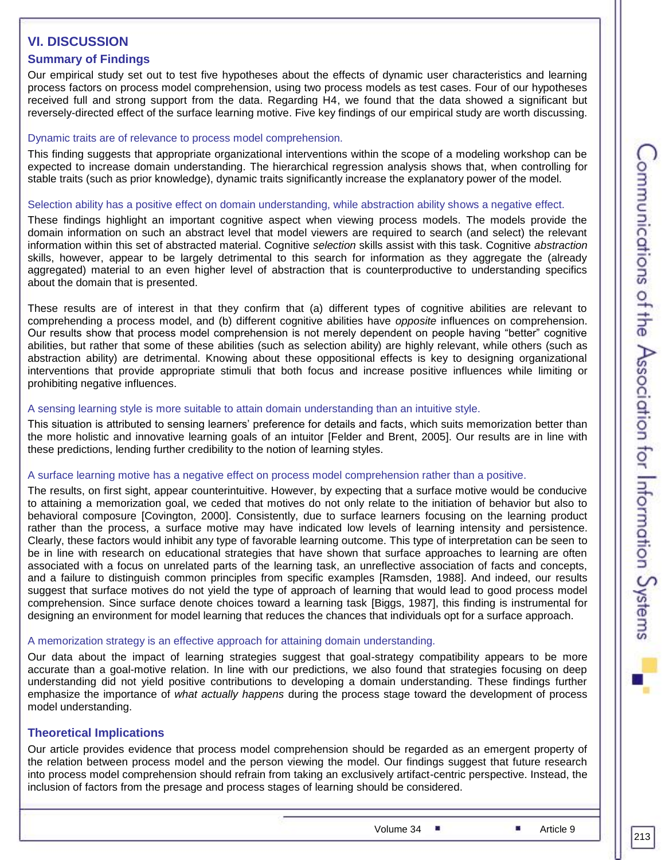### **VI. DISCUSSION**

### **Summary of Findings**

Our empirical study set out to test five hypotheses about the effects of dynamic user characteristics and learning process factors on process model comprehension, using two process models as test cases. Four of our hypotheses received full and strong support from the data. Regarding H4, we found that the data showed a significant but reversely-directed effect of the surface learning motive. Five key findings of our empirical study are worth discussing.

### Dynamic traits are of relevance to process model comprehension.

This finding suggests that appropriate organizational interventions within the scope of a modeling workshop can be expected to increase domain understanding. The hierarchical regression analysis shows that, when controlling for stable traits (such as prior knowledge), dynamic traits significantly increase the explanatory power of the model.

### Selection ability has a positive effect on domain understanding, while abstraction ability shows a negative effect.

These findings highlight an important cognitive aspect when viewing process models. The models provide the domain information on such an abstract level that model viewers are required to search (and select) the relevant information within this set of abstracted material. Cognitive *selection* skills assist with this task. Cognitive *abstraction* skills, however, appear to be largely detrimental to this search for information as they aggregate the (already aggregated) material to an even higher level of abstraction that is counterproductive to understanding specifics about the domain that is presented.

These results are of interest in that they confirm that (a) different types of cognitive abilities are relevant to comprehending a process model, and (b) different cognitive abilities have *opposite* influences on comprehension. Our results show that process model comprehension is not merely dependent on people having "better" cognitive abilities, but rather that some of these abilities (such as selection ability) are highly relevant, while others (such as abstraction ability) are detrimental. Knowing about these oppositional effects is key to designing organizational interventions that provide appropriate stimuli that both focus and increase positive influences while limiting or prohibiting negative influences.

### A sensing learning style is more suitable to attain domain understanding than an intuitive style.

This situation is attributed to sensing learners' preference for details and facts, which suits memorization better than the more holistic and innovative learning goals of an intuitor [Felder and Brent, 2005]. Our results are in line with these predictions, lending further credibility to the notion of learning styles.

### A surface learning motive has a negative effect on process model comprehension rather than a positive.

The results, on first sight, appear counterintuitive. However, by expecting that a surface motive would be conducive to attaining a memorization goal, we ceded that motives do not only relate to the initiation of behavior but also to behavioral composure [Covington, 2000]. Consistently, due to surface learners focusing on the learning product rather than the process, a surface motive may have indicated low levels of learning intensity and persistence. Clearly, these factors would inhibit any type of favorable learning outcome. This type of interpretation can be seen to be in line with research on educational strategies that have shown that surface approaches to learning are often associated with a focus on unrelated parts of the learning task, an unreflective association of facts and concepts, and a failure to distinguish common principles from specific examples [Ramsden, 1988]. And indeed, our results suggest that surface motives do not yield the type of approach of learning that would lead to good process model comprehension. Since surface denote choices toward a learning task [Biggs, 1987], this finding is instrumental for designing an environment for model learning that reduces the chances that individuals opt for a surface approach.

### A memorization strategy is an effective approach for attaining domain understanding.

Our data about the impact of learning strategies suggest that goal-strategy compatibility appears to be more accurate than a goal-motive relation. In line with our predictions, we also found that strategies focusing on deep understanding did not yield positive contributions to developing a domain understanding. These findings further emphasize the importance of *what actually happens* during the process stage toward the development of process model understanding.

### **Theoretical Implications**

Our article provides evidence that process model comprehension should be regarded as an emergent property of the relation between process model and the person viewing the model. Our findings suggest that future research into process model comprehension should refrain from taking an exclusively artifact-centric perspective. Instead, the inclusion of factors from the presage and process stages of learning should be considered.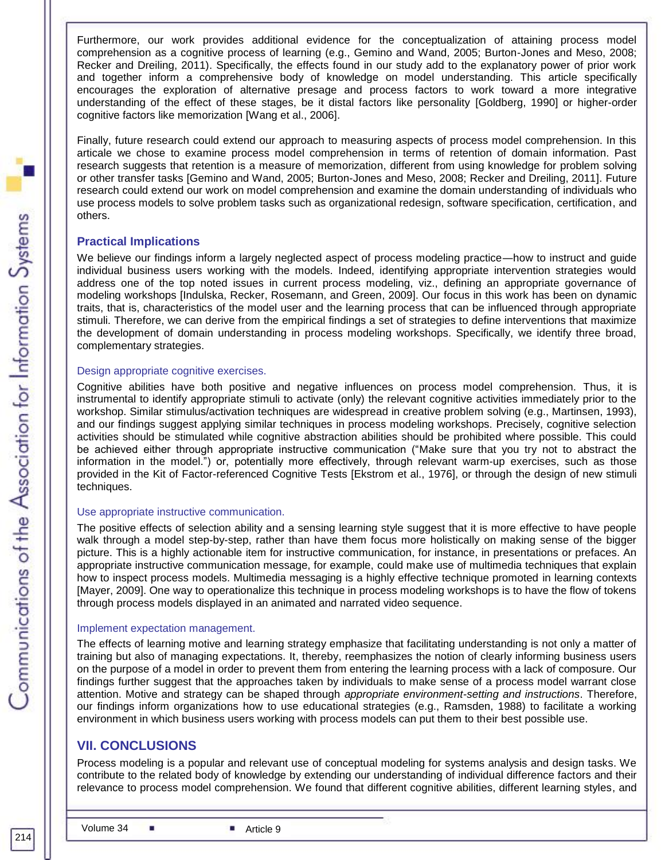Furthermore, our work provides additional evidence for the conceptualization of attaining process model comprehension as a cognitive process of learning (e.g., Gemino and Wand, 2005; Burton-Jones and Meso, 2008; Recker and Dreiling, 2011). Specifically, the effects found in our study add to the explanatory power of prior work and together inform a comprehensive body of knowledge on model understanding. This article specifically encourages the exploration of alternative presage and process factors to work toward a more integrative understanding of the effect of these stages, be it distal factors like personality [Goldberg, 1990] or higher-order cognitive factors like memorization [Wang et al., 2006].

Finally, future research could extend our approach to measuring aspects of process model comprehension. In this articale we chose to examine process model comprehension in terms of retention of domain information. Past research suggests that retention is a measure of memorization, different from using knowledge for problem solving or other transfer tasks [Gemino and Wand, 2005; Burton-Jones and Meso, 2008; Recker and Dreiling, 2011]. Future research could extend our work on model comprehension and examine the domain understanding of individuals who use process models to solve problem tasks such as organizational redesign, software specification, certification, and others.

### **Practical Implications**

We believe our findings inform a largely neglected aspect of process modeling practice—how to instruct and guide individual business users working with the models. Indeed, identifying appropriate intervention strategies would address one of the top noted issues in current process modeling, viz., defining an appropriate governance of modeling workshops [Indulska, Recker, Rosemann, and Green, 2009]. Our focus in this work has been on dynamic traits, that is, characteristics of the model user and the learning process that can be influenced through appropriate stimuli. Therefore, we can derive from the empirical findings a set of strategies to define interventions that maximize the development of domain understanding in process modeling workshops. Specifically, we identify three broad, complementary strategies.

### Design appropriate cognitive exercises.

Cognitive abilities have both positive and negative influences on process model comprehension. Thus, it is instrumental to identify appropriate stimuli to activate (only) the relevant cognitive activities immediately prior to the workshop. Similar stimulus/activation techniques are widespread in creative problem solving (e.g., Martinsen, 1993), and our findings suggest applying similar techniques in process modeling workshops. Precisely, cognitive selection activities should be stimulated while cognitive abstraction abilities should be prohibited where possible. This could be achieved either through appropriate instructive communication ("Make sure that you try not to abstract the information in the model.") or, potentially more effectively, through relevant warm-up exercises, such as those provided in the Kit of Factor-referenced Cognitive Tests [Ekstrom et al., 1976], or through the design of new stimuli techniques.

### Use appropriate instructive communication.

The positive effects of selection ability and a sensing learning style suggest that it is more effective to have people walk through a model step-by-step, rather than have them focus more holistically on making sense of the bigger picture. This is a highly actionable item for instructive communication, for instance, in presentations or prefaces. An appropriate instructive communication message, for example, could make use of multimedia techniques that explain how to inspect process models. Multimedia messaging is a highly effective technique promoted in learning contexts [Mayer, 2009]. One way to operationalize this technique in process modeling workshops is to have the flow of tokens through process models displayed in an animated and narrated video sequence.

### Implement expectation management.

The effects of learning motive and learning strategy emphasize that facilitating understanding is not only a matter of training but also of managing expectations. It, thereby, reemphasizes the notion of clearly informing business users on the purpose of a model in order to prevent them from entering the learning process with a lack of composure. Our findings further suggest that the approaches taken by individuals to make sense of a process model warrant close attention. Motive and strategy can be shaped through *appropriate environment-setting and instructions*. Therefore, our findings inform organizations how to use educational strategies (e.g., Ramsden, 1988) to facilitate a working environment in which business users working with process models can put them to their best possible use.

### **VII. CONCLUSIONS**

Process modeling is a popular and relevant use of conceptual modeling for systems analysis and design tasks. We contribute to the related body of knowledge by extending our understanding of individual difference factors and their relevance to process model comprehension. We found that different cognitive abilities, different learning styles, and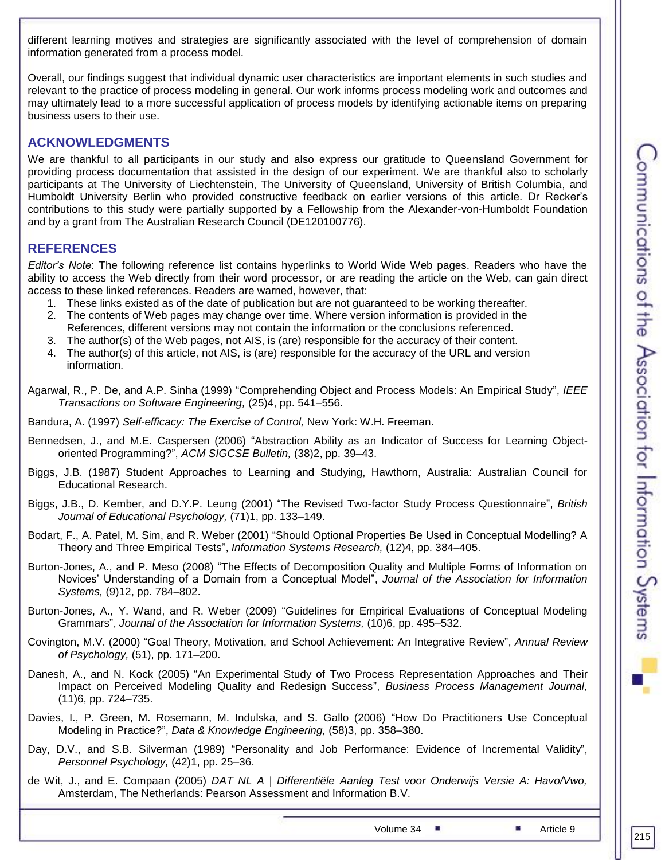different learning motives and strategies are significantly associated with the level of comprehension of domain information generated from a process model.

Overall, our findings suggest that individual dynamic user characteristics are important elements in such studies and relevant to the practice of process modeling in general. Our work informs process modeling work and outcomes and may ultimately lead to a more successful application of process models by identifying actionable items on preparing business users to their use.

### **ACKNOWLEDGMENTS**

We are thankful to all participants in our study and also express our gratitude to Queensland Government for providing process documentation that assisted in the design of our experiment. We are thankful also to scholarly participants at The University of Liechtenstein, The University of Queensland, University of British Columbia, and Humboldt University Berlin who provided constructive feedback on earlier versions of this article. Dr Recker's contributions to this study were partially supported by a Fellowship from the Alexander-von-Humboldt Foundation and by a grant from The Australian Research Council (DE120100776).

### **REFERENCES**

*Editor's Note*: The following reference list contains hyperlinks to World Wide Web pages. Readers who have the ability to access the Web directly from their word processor, or are reading the article on the Web, can gain direct access to these linked references. Readers are warned, however, that:

- 1. These links existed as of the date of publication but are not guaranteed to be working thereafter.
- 2. The contents of Web pages may change over time. Where version information is provided in the References, different versions may not contain the information or the conclusions referenced.
- 3. The author(s) of the Web pages, not AIS, is (are) responsible for the accuracy of their content.
- 4. The author(s) of this article, not AIS, is (are) responsible for the accuracy of the URL and version information.
- Agarwal, R., P. De, and A.P. Sinha (1999) "Comprehending Object and Process Models: An Empirical Study", *IEEE Transactions on Software Engineering,* (25)4, pp. 541–556.

Bandura, A. (1997) *Self-efficacy: The Exercise of Control,* New York: W.H. Freeman.

- Bennedsen, J., and M.E. Caspersen (2006) "Abstraction Ability as an Indicator of Success for Learning Objectoriented Programming?", *ACM SIGCSE Bulletin,* (38)2, pp. 39–43.
- Biggs, J.B. (1987) Student Approaches to Learning and Studying, Hawthorn, Australia: Australian Council for Educational Research.
- Biggs, J.B., D. Kember, and D.Y.P. Leung (2001) "The Revised Two-factor Study Process Questionnaire", *British Journal of Educational Psychology,* (71)1, pp. 133–149.
- Bodart, F., A. Patel, M. Sim, and R. Weber (2001) "Should Optional Properties Be Used in Conceptual Modelling? A Theory and Three Empirical Tests", *Information Systems Research,* (12)4, pp. 384–405.
- Burton-Jones, A., and P. Meso (2008) "The Effects of Decomposition Quality and Multiple Forms of Information on Novices' Understanding of a Domain from a Conceptual Model", *Journal of the Association for Information Systems,* (9)12, pp. 784–802.
- Burton-Jones, A., Y. Wand, and R. Weber (2009) "Guidelines for Empirical Evaluations of Conceptual Modeling Grammars", *Journal of the Association for Information Systems,* (10)6, pp. 495–532.
- Covington, M.V. (2000) "Goal Theory, Motivation, and School Achievement: An Integrative Review", *Annual Review of Psychology,* (51), pp. 171–200.
- Danesh, A., and N. Kock (2005) "An Experimental Study of Two Process Representation Approaches and Their Impact on Perceived Modeling Quality and Redesign Success", *Business Process Management Journal,* (11)6, pp. 724–735.
- Davies, I., P. Green, M. Rosemann, M. Indulska, and S. Gallo (2006) "How Do Practitioners Use Conceptual Modeling in Practice?", *Data & Knowledge Engineering,* (58)3, pp. 358–380.
- Day, D.V., and S.B. Silverman (1989) "Personality and Job Performance: Evidence of Incremental Validity", *Personnel Psychology,* (42)1, pp. 25–36.
- de Wit, J., and E. Compaan (2005) *DAT NL A | Differentiële Aanleg Test voor Onderwijs Versie A: Havo/Vwo,* Amsterdam, The Netherlands: Pearson Assessment and Information B.V.

Volume  $34 \rightarrow 34$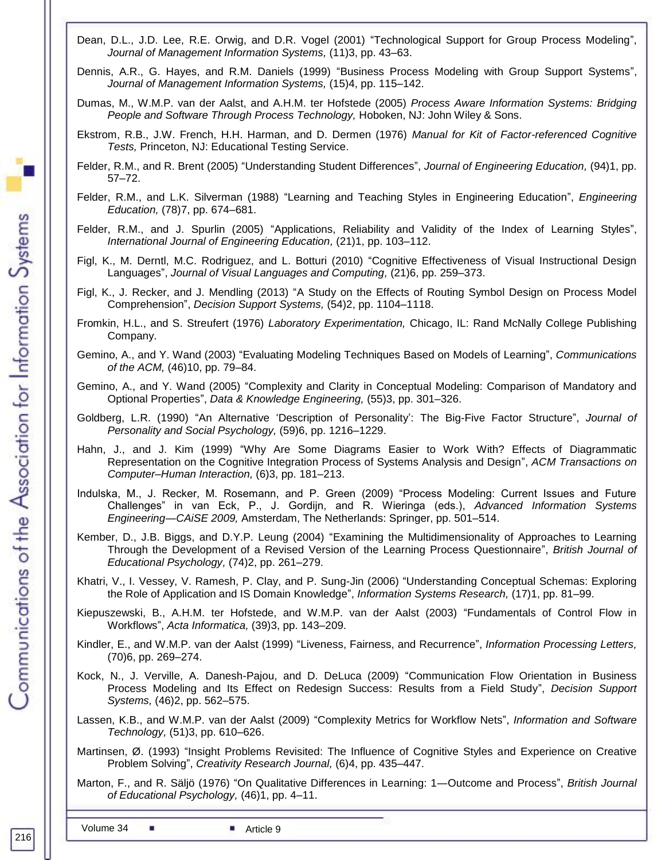Communications of the Association for Information Systems

- Dean, D.L., J.D. Lee, R.E. Orwig, and D.R. Vogel (2001) "Technological Support for Group Process Modeling", *Journal of Management Information Systems,* (11)3, pp. 43–63.
- Dennis, A.R., G. Hayes, and R.M. Daniels (1999) "Business Process Modeling with Group Support Systems", *Journal of Management Information Systems,* (15)4, pp. 115–142.
- Dumas, M., W.M.P. van der Aalst, and A.H.M. ter Hofstede (2005) *Process Aware Information Systems: Bridging People and Software Through Process Technology,* Hoboken, NJ: John Wiley & Sons.
- Ekstrom, R.B., J.W. French, H.H. Harman, and D. Dermen (1976) *Manual for Kit of Factor-referenced Cognitive Tests,* Princeton, NJ: Educational Testing Service.
- Felder, R.M., and R. Brent (2005) "Understanding Student Differences", *Journal of Engineering Education,* (94)1, pp. 57–72.
- Felder, R.M., and L.K. Silverman (1988) "Learning and Teaching Styles in Engineering Education", *Engineering Education,* (78)7, pp. 674–681.
- Felder, R.M., and J. Spurlin (2005) "Applications, Reliability and Validity of the Index of Learning Styles", *International Journal of Engineering Education,* (21)1, pp. 103–112.
- Figl, K., M. Derntl, M.C. Rodriguez, and L. Botturi (2010) "Cognitive Effectiveness of Visual Instructional Design Languages", *Journal of Visual Languages and Computing,* (21)6, pp. 259–373.
- Figl, K., J. Recker, and J. Mendling (2013) "A Study on the Effects of Routing Symbol Design on Process Model Comprehension", *Decision Support Systems,* (54)2, pp. 1104–1118.
- Fromkin, H.L., and S. Streufert (1976) *Laboratory Experimentation,* Chicago, IL: Rand McNally College Publishing Company.
- Gemino, A., and Y. Wand (2003) "Evaluating Modeling Techniques Based on Models of Learning", *Communications of the ACM,* (46)10, pp. 79–84.
- Gemino, A., and Y. Wand (2005) "Complexity and Clarity in Conceptual Modeling: Comparison of Mandatory and Optional Properties", *Data & Knowledge Engineering,* (55)3, pp. 301–326.
- Goldberg, L.R. (1990) "An Alternative 'Description of Personality': The Big-Five Factor Structure", *Journal of Personality and Social Psychology,* (59)6, pp. 1216–1229.
- Hahn, J., and J. Kim (1999) "Why Are Some Diagrams Easier to Work With? Effects of Diagrammatic Representation on the Cognitive Integration Process of Systems Analysis and Design", *ACM Transactions on Computer*–*Human Interaction,* (6)3, pp. 181–213.
- Indulska, M., J. Recker, M. Rosemann, and P. Green (2009) "Process Modeling: Current Issues and Future Challenges" in van Eck, P., J. Gordijn, and R. Wieringa (eds.), *Advanced Information Systems Engineering―CAiSE 2009,* Amsterdam, The Netherlands: Springer, pp. 501–514.
- Kember, D., J.B. Biggs, and D.Y.P. Leung (2004) "Examining the Multidimensionality of Approaches to Learning Through the Development of a Revised Version of the Learning Process Questionnaire", *British Journal of Educational Psychology,* (74)2, pp. 261–279.
- Khatri, V., I. Vessey, V. Ramesh, P. Clay, and P. Sung-Jin (2006) "Understanding Conceptual Schemas: Exploring the Role of Application and IS Domain Knowledge", *Information Systems Research,* (17)1, pp. 81–99.
- Kiepuszewski, B., A.H.M. ter Hofstede, and W.M.P. van der Aalst (2003) "Fundamentals of Control Flow in Workflows", *Acta Informatica,* (39)3, pp. 143–209.
- Kindler, E., and W.M.P. van der Aalst (1999) "Liveness, Fairness, and Recurrence", *Information Processing Letters,* (70)6, pp. 269–274.
- Kock, N., J. Verville, A. Danesh-Pajou, and D. DeLuca (2009) "Communication Flow Orientation in Business Process Modeling and Its Effect on Redesign Success: Results from a Field Study", *Decision Support Systems,* (46)2, pp. 562–575.
- Lassen, K.B., and W.M.P. van der Aalst (2009) "Complexity Metrics for Workflow Nets", *Information and Software Technology,* (51)3, pp. 610–626.
- Martinsen, Ø. (1993) "Insight Problems Revisited: The Influence of Cognitive Styles and Experience on Creative Problem Solving", *Creativity Research Journal,* (6)4, pp. 435–447.
- Marton, F., and R. Säljö (1976) "On Qualitative Differences in Learning: 1―Outcome and Process", *British Journal of Educational Psychology,* (46)1, pp. 4–11.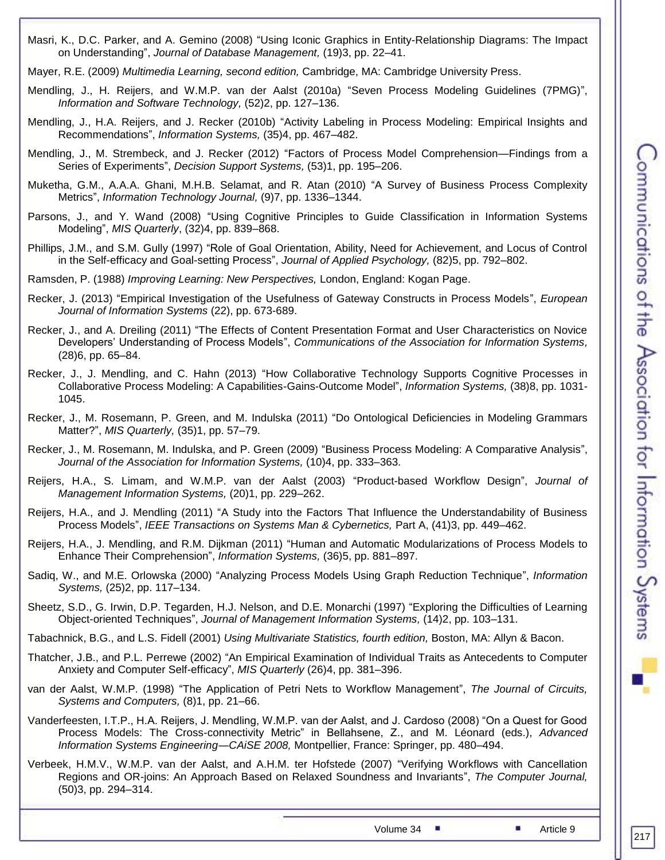- Masri, K., D.C. Parker, and A. Gemino (2008) "Using Iconic Graphics in Entity-Relationship Diagrams: The Impact on Understanding", *Journal of Database Management,* (19)3, pp. 22–41.
- Mayer, R.E. (2009) *Multimedia Learning, second edition,* Cambridge, MA: Cambridge University Press.
- Mendling, J., H. Reijers, and W.M.P. van der Aalst (2010a) "Seven Process Modeling Guidelines (7PMG)", *Information and Software Technology,* (52)2, pp. 127–136.
- Mendling, J., H.A. Reijers, and J. Recker (2010b) "Activity Labeling in Process Modeling: Empirical Insights and Recommendations", *Information Systems,* (35)4, pp. 467–482.
- Mendling, J., M. Strembeck, and J. Recker (2012) "Factors of Process Model Comprehension—Findings from a Series of Experiments", *Decision Support Systems,* (53)1, pp. 195–206.
- Muketha, G.M., A.A.A. Ghani, M.H.B. Selamat, and R. Atan (2010) "A Survey of Business Process Complexity Metrics", *Information Technology Journal,* (9)7, pp. 1336–1344.
- Parsons, J., and Y. Wand (2008) "Using Cognitive Principles to Guide Classification in Information Systems Modeling", *MIS Quarterly*, (32)4, pp. 839–868.
- Phillips, J.M., and S.M. Gully (1997) "Role of Goal Orientation, Ability, Need for Achievement, and Locus of Control in the Self-efficacy and Goal-setting Process", *Journal of Applied Psychology,* (82)5, pp. 792–802.
- Ramsden, P. (1988) *Improving Learning: New Perspectives,* London, England: Kogan Page.
- Recker, J. (2013) "Empirical Investigation of the Usefulness of Gateway Constructs in Process Models", *European Journal of Information Systems* (22), pp. 673-689.
- Recker, J., and A. Dreiling (2011) "The Effects of Content Presentation Format and User Characteristics on Novice Developers' Understanding of Process Models", *Communications of the Association for Information Systems,* (28)6, pp. 65–84.
- Recker, J., J. Mendling, and C. Hahn (2013) "How Collaborative Technology Supports Cognitive Processes in Collaborative Process Modeling: A Capabilities-Gains-Outcome Model", *Information Systems,* (38)8, pp. 1031- 1045.
- Recker, J., M. Rosemann, P. Green, and M. Indulska (2011) "Do Ontological Deficiencies in Modeling Grammars Matter?", *MIS Quarterly,* (35)1, pp. 57–79.
- Recker, J., M. Rosemann, M. Indulska, and P. Green (2009) "Business Process Modeling: A Comparative Analysis", *Journal of the Association for Information Systems,* (10)4, pp. 333–363.
- Reijers, H.A., S. Limam, and W.M.P. van der Aalst (2003) "Product-based Workflow Design", *Journal of Management Information Systems,* (20)1, pp. 229–262.
- Reijers, H.A., and J. Mendling (2011) "A Study into the Factors That Influence the Understandability of Business Process Models", *IEEE Transactions on Systems Man & Cybernetics,* Part A, (41)3, pp. 449–462.
- Reijers, H.A., J. Mendling, and R.M. Dijkman (2011) "Human and Automatic Modularizations of Process Models to Enhance Their Comprehension", *Information Systems,* (36)5, pp. 881–897.
- Sadiq, W., and M.E. Orlowska (2000) "Analyzing Process Models Using Graph Reduction Technique", *Information Systems,* (25)2, pp. 117–134.
- Sheetz, S.D., G. Irwin, D.P. Tegarden, H.J. Nelson, and D.E. Monarchi (1997) "Exploring the Difficulties of Learning Object-oriented Techniques", *Journal of Management Information Systems,* (14)2, pp. 103–131.
- Tabachnick, B.G., and L.S. Fidell (2001) *Using Multivariate Statistics, fourth edition,* Boston, MA: Allyn & Bacon.
- Thatcher, J.B., and P.L. Perrewe (2002) "An Empirical Examination of Individual Traits as Antecedents to Computer Anxiety and Computer Self-efficacy", *MIS Quarterly* (26)4, pp. 381–396.
- van der Aalst, W.M.P. (1998) "The Application of Petri Nets to Workflow Management", *The Journal of Circuits, Systems and Computers,* (8)1, pp. 21–66.
- Vanderfeesten, I.T.P., H.A. Reijers, J. Mendling, W.M.P. van der Aalst, and J. Cardoso (2008) "On a Quest for Good Process Models: The Cross-connectivity Metric" in Bellahsene, Z., and M. Léonard (eds.), *Advanced Information Systems Engineering―CAiSE 2008,* Montpellier, France: Springer, pp. 480–494.
- Verbeek, H.M.V., W.M.P. van der Aalst, and A.H.M. ter Hofstede (2007) "Verifying Workflows with Cancellation Regions and OR-joins: An Approach Based on Relaxed Soundness and Invariants", *The Computer Journal,* (50)3, pp. 294–314.

Volume 34 **Article 9**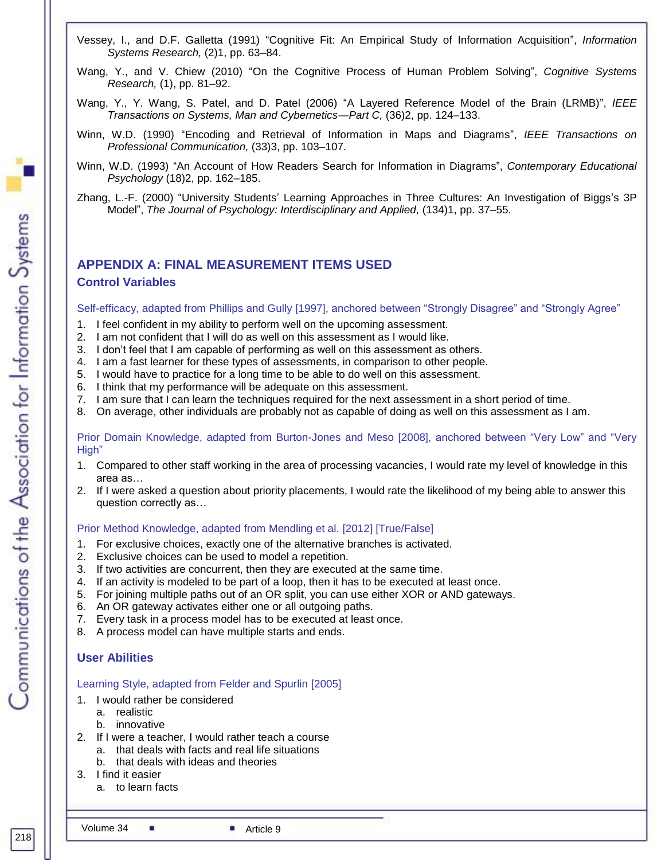- Vessey, I., and D.F. Galletta (1991) "Cognitive Fit: An Empirical Study of Information Acquisition", *Information Systems Research,* (2)1, pp. 63–84.
- Wang, Y., and V. Chiew (2010) "On the Cognitive Process of Human Problem Solving", *Cognitive Systems Research,* (1), pp. 81–92.
- Wang, Y., Y. Wang, S. Patel, and D. Patel (2006) "A Layered Reference Model of the Brain (LRMB)", *IEEE Transactions on Systems, Man and Cybernetics―Part C,* (36)2, pp. 124–133.
- Winn, W.D. (1990) "Encoding and Retrieval of Information in Maps and Diagrams", *IEEE Transactions on Professional Communication,* (33)3, pp. 103–107.
- Winn, W.D. (1993) "An Account of How Readers Search for Information in Diagrams", *Contemporary Educational Psychology* (18)2, pp. 162–185.
- Zhang, L.-F. (2000) "University Students' Learning Approaches in Three Cultures: An Investigation of Biggs's 3P Model", *The Journal of Psychology: Interdisciplinary and Applied,* (134)1, pp. 37–55.

### **APPENDIX A: FINAL MEASUREMENT ITEMS USED Control Variables**

Self-efficacy, adapted from Phillips and Gully [1997], anchored between "Strongly Disagree" and "Strongly Agree"

- 1. I feel confident in my ability to perform well on the upcoming assessment.
- 2. I am not confident that I will do as well on this assessment as I would like.
- 3. I don't feel that I am capable of performing as well on this assessment as others.
- 4. I am a fast learner for these types of assessments, in comparison to other people.
- 5. I would have to practice for a long time to be able to do well on this assessment.
- 6. I think that my performance will be adequate on this assessment.
- 7. I am sure that I can learn the techniques required for the next assessment in a short period of time.
- 8. On average, other individuals are probably not as capable of doing as well on this assessment as I am.

### Prior Domain Knowledge, adapted from Burton-Jones and Meso [2008], anchored between "Very Low" and "Very High"

- 1. Compared to other staff working in the area of processing vacancies, I would rate my level of knowledge in this area as…
- 2. If I were asked a question about priority placements, I would rate the likelihood of my being able to answer this question correctly as…

### Prior Method Knowledge, adapted from Mendling et al. [2012] [True/False]

- 1. For exclusive choices, exactly one of the alternative branches is activated.
- 2. Exclusive choices can be used to model a repetition.
- 3. If two activities are concurrent, then they are executed at the same time.
- 4. If an activity is modeled to be part of a loop, then it has to be executed at least once.
- 5. For joining multiple paths out of an OR split, you can use either XOR or AND gateways.
- 6. An OR gateway activates either one or all outgoing paths.
- 7. Every task in a process model has to be executed at least once.
- 8. A process model can have multiple starts and ends.

### **User Abilities**

### Learning Style, adapted from Felder and Spurlin [2005]

- 1. I would rather be considered
	- a. realistic
		- b. innovative
- 2. If I were a teacher, I would rather teach a course
	- a. that deals with facts and real life situations
	- b. that deals with ideas and theories
- 3. I find it easier
	- a. to learn facts

a.

Communications of the Association for Information Systems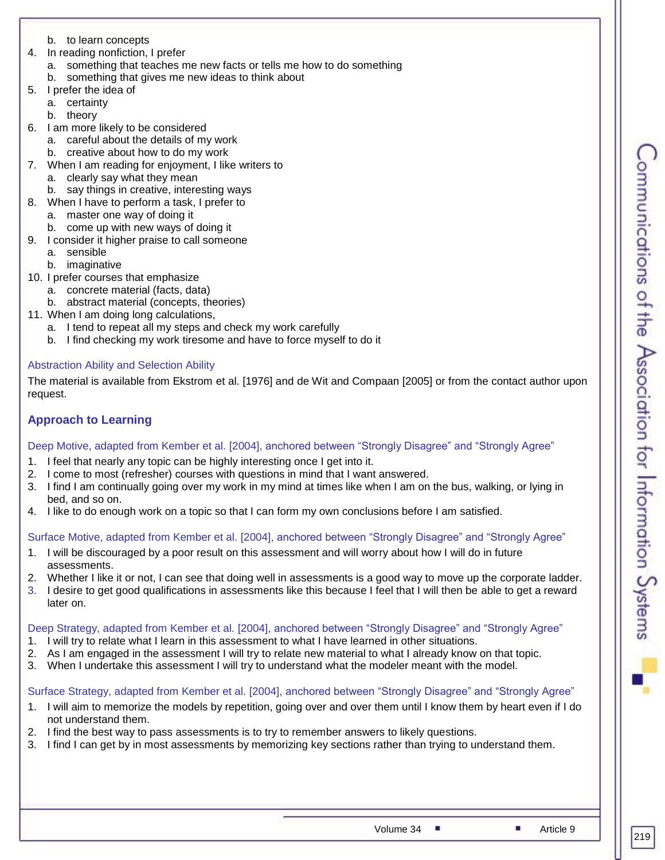- 4. In reading nonfiction, I prefer
	- a. something that teaches me new facts or tells me how to do something
	- b. something that gives me new ideas to think about
- 5. I prefer the idea of
	- a. certainty
		- b. theory
- 6. I am more likely to be considered
	- a. careful about the details of my work
	- b. creative about how to do my work
- 7. When I am reading for enjoyment, I like writers to
	- a. clearly say what they mean
	- b. say things in creative, interesting ways
- 8. When I have to perform a task, I prefer to
	- a. master one way of doing it
	- b. come up with new ways of doing it
- 9. I consider it higher praise to call someone
	- a. sensible
	- b. imaginative
- 10. I prefer courses that emphasize
	- a. concrete material (facts, data)
	- b. abstract material (concepts, theories)
- 11. When I am doing long calculations,
	- a. I tend to repeat all my steps and check my work carefully
	- b. I find checking my work tiresome and have to force myself to do it

### Abstraction Ability and Selection Ability

The material is available from Ekstrom et al. [1976] and de Wit and Compaan [2005] or from the contact author upon request.

### **Approach to Learning**

### Deep Motive, adapted from Kember et al. [2004], anchored between "Strongly Disagree" and "Strongly Agree"

- 1. I feel that nearly any topic can be highly interesting once I get into it.
- 2. I come to most (refresher) courses with questions in mind that I want answered.
- 3. I find I am continually going over my work in my mind at times like when I am on the bus, walking, or lying in bed, and so on.
- 4. I like to do enough work on a topic so that I can form my own conclusions before I am satisfied.

### Surface Motive, adapted from Kember et al. [2004], anchored between "Strongly Disagree" and "Strongly Agree"

- 1. I will be discouraged by a poor result on this assessment and will worry about how I will do in future assessments.
- 2. Whether I like it or not, I can see that doing well in assessments is a good way to move up the corporate ladder.
- 3. I desire to get good qualifications in assessments like this because I feel that I will then be able to get a reward later on.

### Deep Strategy, adapted from Kember et al. [2004], anchored between "Strongly Disagree" and "Strongly Agree"

- 1. I will try to relate what I learn in this assessment to what I have learned in other situations.
- 2. As I am engaged in the assessment I will try to relate new material to what I already know on that topic.
- 3. When I undertake this assessment I will try to understand what the modeler meant with the model.

### Surface Strategy, adapted from Kember et al. [2004], anchored between "Strongly Disagree" and "Strongly Agree"

- 1. I will aim to memorize the models by repetition, going over and over them until I know them by heart even if I do not understand them.
- 2. I find the best way to pass assessments is to try to remember answers to likely questions.
- 3. I find I can get by in most assessments by memorizing key sections rather than trying to understand them.

Volume 34 **Article 9**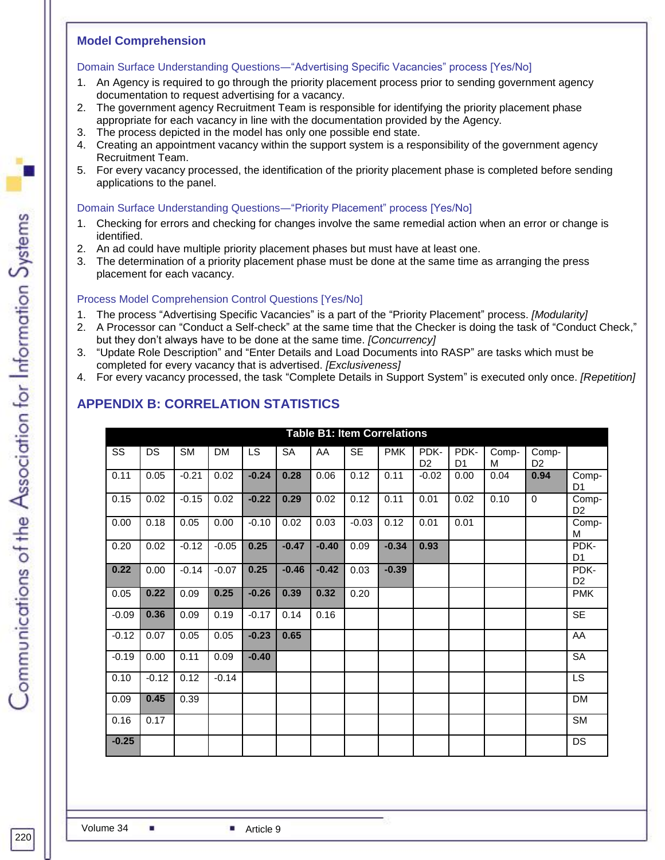### **Model Comprehension**

### Domain Surface Understanding Questions―"Advertising Specific Vacancies" process [Yes/No]

- 1. An Agency is required to go through the priority placement process prior to sending government agency documentation to request advertising for a vacancy.
- 2. The government agency Recruitment Team is responsible for identifying the priority placement phase appropriate for each vacancy in line with the documentation provided by the Agency.
- 3. The process depicted in the model has only one possible end state.
- 4. Creating an appointment vacancy within the support system is a responsibility of the government agency Recruitment Team.
- 5. For every vacancy processed, the identification of the priority placement phase is completed before sending applications to the panel.

### Domain Surface Understanding Questions―"Priority Placement" process [Yes/No]

- 1. Checking for errors and checking for changes involve the same remedial action when an error or change is identified.
- 2. An ad could have multiple priority placement phases but must have at least one.
- 3. The determination of a priority placement phase must be done at the same time as arranging the press placement for each vacancy.

### Process Model Comprehension Control Questions [Yes/No]

- 1. The process "Advertising Specific Vacancies" is a part of the "Priority Placement" process. *[Modularity]*
- 2. A Processor can "Conduct a Self-check" at the same time that the Checker is doing the task of "Conduct Check," but they don't always have to be done at the same time. *[Concurrency]*
- 3. "Update Role Description" and "Enter Details and Load Documents into RASP" are tasks which must be completed for every vacancy that is advertised. *[Exclusiveness]*
- 4. For every vacancy processed, the task "Complete Details in Support System" is executed only once. *[Repetition]*

### **APPENDIX B: CORRELATION STATISTICS**

|         | <b>Table B1: Item Correlations</b> |           |           |           |           |         |           |            |                        |                        |            |                         |                         |
|---------|------------------------------------|-----------|-----------|-----------|-----------|---------|-----------|------------|------------------------|------------------------|------------|-------------------------|-------------------------|
| SS      | DS                                 | <b>SM</b> | <b>DM</b> | <b>LS</b> | <b>SA</b> | AA      | <b>SE</b> | <b>PMK</b> | PDK-<br>D <sub>2</sub> | PDK-<br>D <sub>1</sub> | Comp-<br>м | Comp-<br>D <sub>2</sub> |                         |
| 0.11    | 0.05                               | $-0.21$   | 0.02      | $-0.24$   | 0.28      | 0.06    | 0.12      | 0.11       | $-0.02$                | 0.00                   | 0.04       | 0.94                    | Comp-<br>D <sub>1</sub> |
| 0.15    | 0.02                               | $-0.15$   | 0.02      | $-0.22$   | 0.29      | 0.02    | 0.12      | 0.11       | 0.01                   | 0.02                   | 0.10       | $\mathbf 0$             | Comp-<br>D <sub>2</sub> |
| 0.00    | 0.18                               | 0.05      | 0.00      | $-0.10$   | 0.02      | 0.03    | $-0.03$   | 0.12       | 0.01                   | 0.01                   |            |                         | Comp-<br>м              |
| 0.20    | 0.02                               | $-0.12$   | $-0.05$   | 0.25      | $-0.47$   | $-0.40$ | 0.09      | $-0.34$    | 0.93                   |                        |            |                         | PDK-<br>D <sub>1</sub>  |
| 0.22    | 0.00                               | $-0.14$   | $-0.07$   | 0.25      | $-0.46$   | $-0.42$ | 0.03      | $-0.39$    |                        |                        |            |                         | PDK-<br>D <sub>2</sub>  |
| 0.05    | 0.22                               | 0.09      | 0.25      | $-0.26$   | 0.39      | 0.32    | 0.20      |            |                        |                        |            |                         | <b>PMK</b>              |
| $-0.09$ | 0.36                               | 0.09      | 0.19      | $-0.17$   | 0.14      | 0.16    |           |            |                        |                        |            |                         | SE                      |
| $-0.12$ | 0.07                               | 0.05      | 0.05      | $-0.23$   | 0.65      |         |           |            |                        |                        |            |                         | AA                      |
| $-0.19$ | 0.00                               | 0.11      | 0.09      | $-0.40$   |           |         |           |            |                        |                        |            |                         | <b>SA</b>               |
| 0.10    | $-0.12$                            | 0.12      | $-0.14$   |           |           |         |           |            |                        |                        |            |                         | <b>LS</b>               |
| 0.09    | 0.45                               | 0.39      |           |           |           |         |           |            |                        |                        |            |                         | <b>DM</b>               |
| 0.16    | 0.17                               |           |           |           |           |         |           |            |                        |                        |            |                         | $\overline{\text{SM}}$  |
| $-0.25$ |                                    |           |           |           |           |         |           |            |                        |                        |            |                         | DS                      |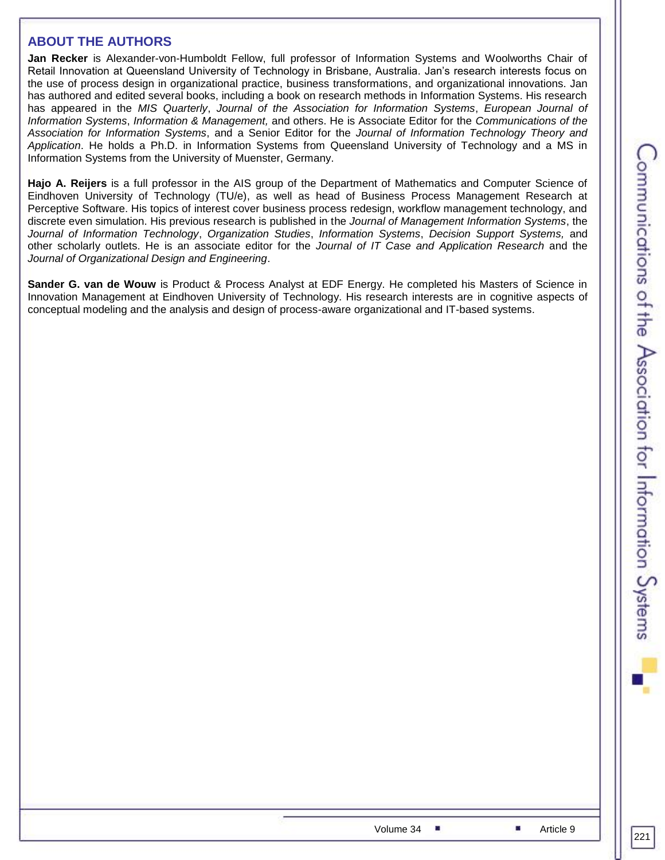# communications of the Association for Information Systems

### **ABOUT THE AUTHORS**

**Jan Recker** is Alexander-von-Humboldt Fellow, full professor of Information Systems and Woolworths Chair of Retail Innovation at Queensland University of Technology in Brisbane, Australia. Jan's research interests focus on the use of process design in organizational practice, business transformations, and organizational innovations. Jan has authored and edited several books, including a book on research methods in Information Systems. His research has appeared in the *MIS Quarterly*, *Journal of the Association for Information Systems*, *European Journal of Information Systems*, *Information & Management,* and others. He is Associate Editor for the *Communications of the Association for Information Systems*, and a Senior Editor for the *Journal of Information Technology Theory and Application*. He holds a Ph.D. in Information Systems from Queensland University of Technology and a MS in Information Systems from the University of Muenster, Germany.

**Hajo A. Reijers** is a full professor in the AIS group of the Department of Mathematics and Computer Science of Eindhoven University of Technology (TU/e), as well as head of Business Process Management Research at Perceptive Software. His topics of interest cover business process redesign, workflow management technology, and discrete even simulation. His previous research is published in the *Journal of Management Information Systems*, the *Journal of Information Technology*, *Organization Studies*, *Information Systems*, *Decision Support Systems,* and other scholarly outlets. He is an associate editor for the *Journal of IT Case and Application Research* and the *Journal of Organizational Design and Engineering*.

**Sander G. van de Wouw** is Product & Process Analyst at EDF Energy. He completed his Masters of Science in Innovation Management at Eindhoven University of Technology. His research interests are in cognitive aspects of conceptual modeling and the analysis and design of process-aware organizational and IT-based systems.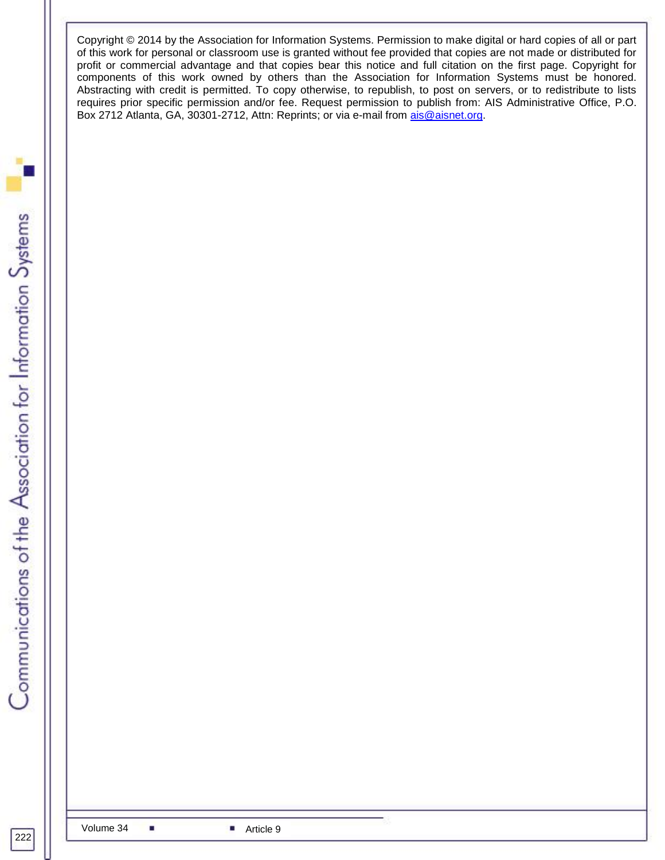Copyright © 2014 by the Association for Information Systems. Permission to make digital or hard copies of all or part of this work for personal or classroom use is granted without fee provided that copies are not made or distributed for profit or commercial advantage and that copies bear this notice and full citation on the first page. Copyright for components of this work owned by others than the Association for Information Systems must be honored. Abstracting with credit is permitted. To copy otherwise, to republish, to post on servers, or to redistribute to lists requires prior specific permission and/or fee. Request permission to publish from: AIS Administrative Office, P.O. Box 2712 Atlanta, GA, 30301-2712, Attn: Reprints; or via e-mail from [ais@aisnet.org.](mailto:ais@aisnet.org)